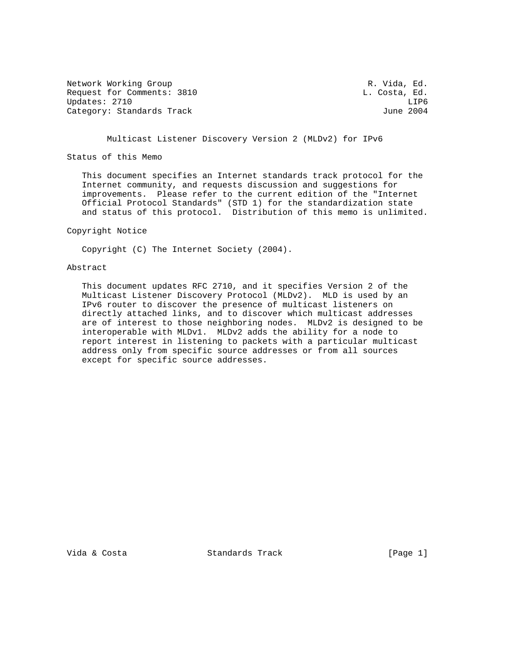Network Working Group and the control of the R. Vida, Ed. Request for Comments: 3810 L. Costa, Ed. Updates: 2710 LIP6<br>Category: Standards Track Category: Standards Track Category: Standards Track

Multicast Listener Discovery Version 2 (MLDv2) for IPv6

Status of this Memo

 This document specifies an Internet standards track protocol for the Internet community, and requests discussion and suggestions for improvements. Please refer to the current edition of the "Internet Official Protocol Standards" (STD 1) for the standardization state and status of this protocol. Distribution of this memo is unlimited.

### Copyright Notice

Copyright (C) The Internet Society (2004).

### Abstract

 This document updates RFC 2710, and it specifies Version 2 of the Multicast Listener Discovery Protocol (MLDv2). MLD is used by an IPv6 router to discover the presence of multicast listeners on directly attached links, and to discover which multicast addresses are of interest to those neighboring nodes. MLDv2 is designed to be interoperable with MLDv1. MLDv2 adds the ability for a node to report interest in listening to packets with a particular multicast address only from specific source addresses or from all sources except for specific source addresses.

Vida & Costa Standards Track [Page 1]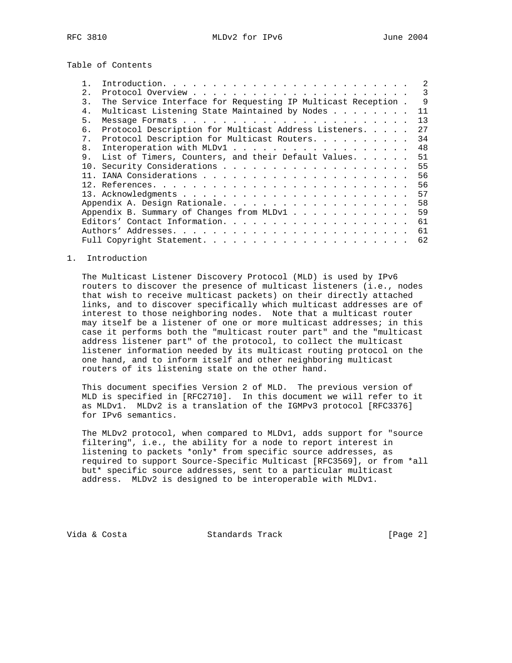Table of Contents

|                | $\mathfrak{D}$                                                                                                                                                                                                                                                                                                            |
|----------------|---------------------------------------------------------------------------------------------------------------------------------------------------------------------------------------------------------------------------------------------------------------------------------------------------------------------------|
| 2.             | 3                                                                                                                                                                                                                                                                                                                         |
| 3.             | 9                                                                                                                                                                                                                                                                                                                         |
| $4$ .          | 11                                                                                                                                                                                                                                                                                                                        |
| 5.             | 13                                                                                                                                                                                                                                                                                                                        |
| б.             | 2.7                                                                                                                                                                                                                                                                                                                       |
| 7 <sub>1</sub> | 34                                                                                                                                                                                                                                                                                                                        |
| 8.             | 48                                                                                                                                                                                                                                                                                                                        |
| 9.             | 51                                                                                                                                                                                                                                                                                                                        |
|                | 55                                                                                                                                                                                                                                                                                                                        |
|                | 56                                                                                                                                                                                                                                                                                                                        |
|                | 56                                                                                                                                                                                                                                                                                                                        |
|                | 57                                                                                                                                                                                                                                                                                                                        |
|                | 58                                                                                                                                                                                                                                                                                                                        |
|                | 59                                                                                                                                                                                                                                                                                                                        |
|                | 61                                                                                                                                                                                                                                                                                                                        |
|                | 61                                                                                                                                                                                                                                                                                                                        |
|                | 62                                                                                                                                                                                                                                                                                                                        |
|                | The Service Interface for Requesting IP Multicast Reception.<br>Multicast Listening State Maintained by Nodes<br>Protocol Description for Multicast Address Listeners.<br>Protocol Description for Multicast Routers.<br>List of Timers, Counters, and their Default Values.<br>Appendix B. Summary of Changes from MLDv1 |

#### 1. Introduction

 The Multicast Listener Discovery Protocol (MLD) is used by IPv6 routers to discover the presence of multicast listeners (i.e., nodes that wish to receive multicast packets) on their directly attached links, and to discover specifically which multicast addresses are of interest to those neighboring nodes. Note that a multicast router may itself be a listener of one or more multicast addresses; in this case it performs both the "multicast router part" and the "multicast address listener part" of the protocol, to collect the multicast listener information needed by its multicast routing protocol on the one hand, and to inform itself and other neighboring multicast routers of its listening state on the other hand.

 This document specifies Version 2 of MLD. The previous version of MLD is specified in [RFC2710]. In this document we will refer to it as MLDv1. MLDv2 is a translation of the IGMPv3 protocol [RFC3376] for IPv6 semantics.

 The MLDv2 protocol, when compared to MLDv1, adds support for "source filtering", i.e., the ability for a node to report interest in listening to packets \*only\* from specific source addresses, as required to support Source-Specific Multicast [RFC3569], or from \*all but\* specific source addresses, sent to a particular multicast address. MLDv2 is designed to be interoperable with MLDv1.

Vida & Costa Standards Track [Page 2]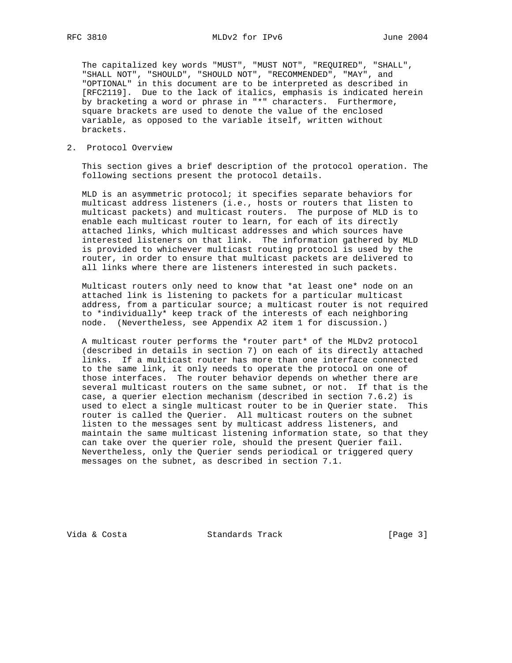The capitalized key words "MUST", "MUST NOT", "REQUIRED", "SHALL", "SHALL NOT", "SHOULD", "SHOULD NOT", "RECOMMENDED", "MAY", and "OPTIONAL" in this document are to be interpreted as described in [RFC2119]. Due to the lack of italics, emphasis is indicated herein by bracketing a word or phrase in "\*" characters. Furthermore, square brackets are used to denote the value of the enclosed variable, as opposed to the variable itself, written without brackets.

2. Protocol Overview

 This section gives a brief description of the protocol operation. The following sections present the protocol details.

 MLD is an asymmetric protocol; it specifies separate behaviors for multicast address listeners (i.e., hosts or routers that listen to multicast packets) and multicast routers. The purpose of MLD is to enable each multicast router to learn, for each of its directly attached links, which multicast addresses and which sources have interested listeners on that link. The information gathered by MLD is provided to whichever multicast routing protocol is used by the router, in order to ensure that multicast packets are delivered to all links where there are listeners interested in such packets.

 Multicast routers only need to know that \*at least one\* node on an attached link is listening to packets for a particular multicast address, from a particular source; a multicast router is not required to \*individually\* keep track of the interests of each neighboring node. (Nevertheless, see Appendix A2 item 1 for discussion.)

 A multicast router performs the \*router part\* of the MLDv2 protocol (described in details in section 7) on each of its directly attached links. If a multicast router has more than one interface connected to the same link, it only needs to operate the protocol on one of those interfaces. The router behavior depends on whether there are several multicast routers on the same subnet, or not. If that is the case, a querier election mechanism (described in section 7.6.2) is used to elect a single multicast router to be in Querier state. This router is called the Querier. All multicast routers on the subnet listen to the messages sent by multicast address listeners, and maintain the same multicast listening information state, so that they can take over the querier role, should the present Querier fail. Nevertheless, only the Querier sends periodical or triggered query messages on the subnet, as described in section 7.1.

Vida & Costa Standards Track [Page 3]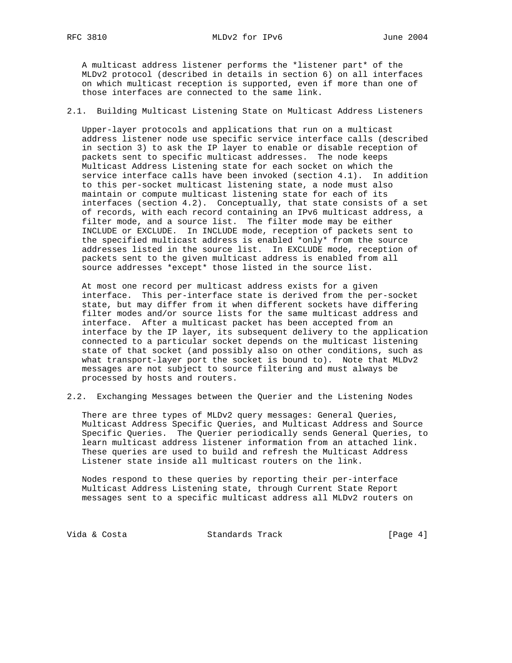A multicast address listener performs the \*listener part\* of the MLDv2 protocol (described in details in section 6) on all interfaces on which multicast reception is supported, even if more than one of those interfaces are connected to the same link.

## 2.1. Building Multicast Listening State on Multicast Address Listeners

 Upper-layer protocols and applications that run on a multicast address listener node use specific service interface calls (described in section 3) to ask the IP layer to enable or disable reception of packets sent to specific multicast addresses. The node keeps Multicast Address Listening state for each socket on which the service interface calls have been invoked (section 4.1). In addition to this per-socket multicast listening state, a node must also maintain or compute multicast listening state for each of its interfaces (section 4.2). Conceptually, that state consists of a set of records, with each record containing an IPv6 multicast address, a filter mode, and a source list. The filter mode may be either INCLUDE or EXCLUDE. In INCLUDE mode, reception of packets sent to the specified multicast address is enabled \*only\* from the source addresses listed in the source list. In EXCLUDE mode, reception of packets sent to the given multicast address is enabled from all source addresses \*except\* those listed in the source list.

 At most one record per multicast address exists for a given interface. This per-interface state is derived from the per-socket state, but may differ from it when different sockets have differing filter modes and/or source lists for the same multicast address and interface. After a multicast packet has been accepted from an interface by the IP layer, its subsequent delivery to the application connected to a particular socket depends on the multicast listening state of that socket (and possibly also on other conditions, such as what transport-layer port the socket is bound to). Note that MLDv2 messages are not subject to source filtering and must always be processed by hosts and routers.

## 2.2. Exchanging Messages between the Querier and the Listening Nodes

 There are three types of MLDv2 query messages: General Queries, Multicast Address Specific Queries, and Multicast Address and Source Specific Queries. The Querier periodically sends General Queries, to learn multicast address listener information from an attached link. These queries are used to build and refresh the Multicast Address Listener state inside all multicast routers on the link.

 Nodes respond to these queries by reporting their per-interface Multicast Address Listening state, through Current State Report messages sent to a specific multicast address all MLDv2 routers on

Vida & Costa Standards Track [Page 4]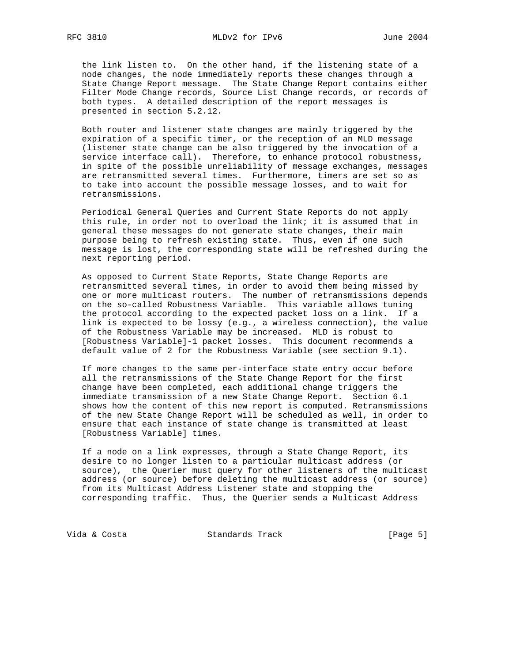the link listen to. On the other hand, if the listening state of a node changes, the node immediately reports these changes through a State Change Report message. The State Change Report contains either Filter Mode Change records, Source List Change records, or records of both types. A detailed description of the report messages is presented in section 5.2.12.

 Both router and listener state changes are mainly triggered by the expiration of a specific timer, or the reception of an MLD message (listener state change can be also triggered by the invocation of a service interface call). Therefore, to enhance protocol robustness, in spite of the possible unreliability of message exchanges, messages are retransmitted several times. Furthermore, timers are set so as to take into account the possible message losses, and to wait for retransmissions.

 Periodical General Queries and Current State Reports do not apply this rule, in order not to overload the link; it is assumed that in general these messages do not generate state changes, their main purpose being to refresh existing state. Thus, even if one such message is lost, the corresponding state will be refreshed during the next reporting period.

 As opposed to Current State Reports, State Change Reports are retransmitted several times, in order to avoid them being missed by one or more multicast routers. The number of retransmissions depends on the so-called Robustness Variable. This variable allows tuning the protocol according to the expected packet loss on a link. If a link is expected to be lossy (e.g., a wireless connection), the value of the Robustness Variable may be increased. MLD is robust to [Robustness Variable]-1 packet losses. This document recommends a default value of 2 for the Robustness Variable (see section 9.1).

 If more changes to the same per-interface state entry occur before all the retransmissions of the State Change Report for the first change have been completed, each additional change triggers the immediate transmission of a new State Change Report. Section 6.1 shows how the content of this new report is computed. Retransmissions of the new State Change Report will be scheduled as well, in order to ensure that each instance of state change is transmitted at least [Robustness Variable] times.

 If a node on a link expresses, through a State Change Report, its desire to no longer listen to a particular multicast address (or source), the Querier must query for other listeners of the multicast address (or source) before deleting the multicast address (or source) from its Multicast Address Listener state and stopping the corresponding traffic. Thus, the Querier sends a Multicast Address

Vida & Costa Standards Track [Page 5]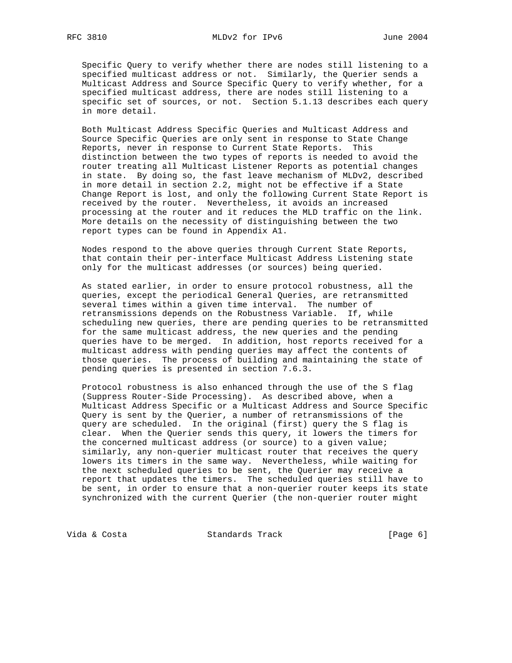Specific Query to verify whether there are nodes still listening to a specified multicast address or not. Similarly, the Querier sends a Multicast Address and Source Specific Query to verify whether, for a specified multicast address, there are nodes still listening to a specific set of sources, or not. Section 5.1.13 describes each query in more detail.

 Both Multicast Address Specific Queries and Multicast Address and Source Specific Queries are only sent in response to State Change Reports, never in response to Current State Reports. This distinction between the two types of reports is needed to avoid the router treating all Multicast Listener Reports as potential changes in state. By doing so, the fast leave mechanism of MLDv2, described in more detail in section 2.2, might not be effective if a State Change Report is lost, and only the following Current State Report is received by the router. Nevertheless, it avoids an increased processing at the router and it reduces the MLD traffic on the link. More details on the necessity of distinguishing between the two report types can be found in Appendix A1.

 Nodes respond to the above queries through Current State Reports, that contain their per-interface Multicast Address Listening state only for the multicast addresses (or sources) being queried.

 As stated earlier, in order to ensure protocol robustness, all the queries, except the periodical General Queries, are retransmitted several times within a given time interval. The number of retransmissions depends on the Robustness Variable. If, while scheduling new queries, there are pending queries to be retransmitted for the same multicast address, the new queries and the pending queries have to be merged. In addition, host reports received for a multicast address with pending queries may affect the contents of those queries. The process of building and maintaining the state of pending queries is presented in section 7.6.3.

 Protocol robustness is also enhanced through the use of the S flag (Suppress Router-Side Processing). As described above, when a Multicast Address Specific or a Multicast Address and Source Specific Query is sent by the Querier, a number of retransmissions of the query are scheduled. In the original (first) query the S flag is clear. When the Querier sends this query, it lowers the timers for the concerned multicast address (or source) to a given value; similarly, any non-querier multicast router that receives the query lowers its timers in the same way. Nevertheless, while waiting for the next scheduled queries to be sent, the Querier may receive a report that updates the timers. The scheduled queries still have to be sent, in order to ensure that a non-querier router keeps its state synchronized with the current Querier (the non-querier router might

Vida & Costa Standards Track [Page 6]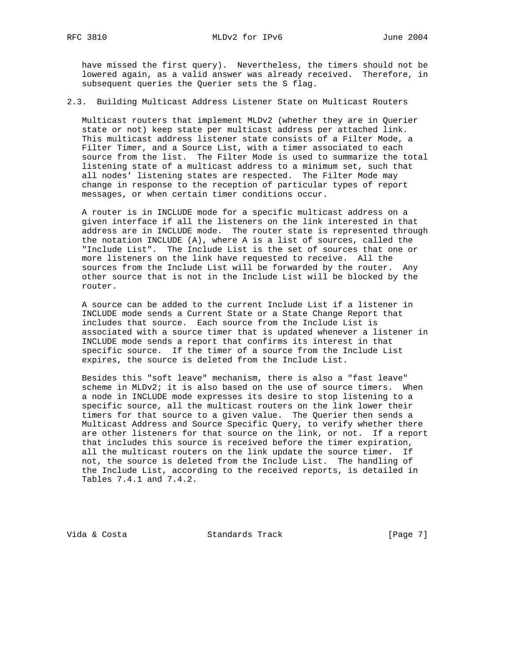have missed the first query). Nevertheless, the timers should not be lowered again, as a valid answer was already received. Therefore, in subsequent queries the Querier sets the S flag.

## 2.3. Building Multicast Address Listener State on Multicast Routers

 Multicast routers that implement MLDv2 (whether they are in Querier state or not) keep state per multicast address per attached link. This multicast address listener state consists of a Filter Mode, a Filter Timer, and a Source List, with a timer associated to each source from the list. The Filter Mode is used to summarize the total listening state of a multicast address to a minimum set, such that all nodes' listening states are respected. The Filter Mode may change in response to the reception of particular types of report messages, or when certain timer conditions occur.

 A router is in INCLUDE mode for a specific multicast address on a given interface if all the listeners on the link interested in that address are in INCLUDE mode. The router state is represented through the notation INCLUDE (A), where A is a list of sources, called the "Include List". The Include List is the set of sources that one or more listeners on the link have requested to receive. All the sources from the Include List will be forwarded by the router. Any other source that is not in the Include List will be blocked by the router.

 A source can be added to the current Include List if a listener in INCLUDE mode sends a Current State or a State Change Report that includes that source. Each source from the Include List is associated with a source timer that is updated whenever a listener in INCLUDE mode sends a report that confirms its interest in that specific source. If the timer of a source from the Include List expires, the source is deleted from the Include List.

 Besides this "soft leave" mechanism, there is also a "fast leave" scheme in MLDv2; it is also based on the use of source timers. When a node in INCLUDE mode expresses its desire to stop listening to a specific source, all the multicast routers on the link lower their timers for that source to a given value. The Querier then sends a Multicast Address and Source Specific Query, to verify whether there are other listeners for that source on the link, or not. If a report that includes this source is received before the timer expiration, all the multicast routers on the link update the source timer. If not, the source is deleted from the Include List. The handling of the Include List, according to the received reports, is detailed in Tables 7.4.1 and 7.4.2.

Vida & Costa Standards Track [Page 7]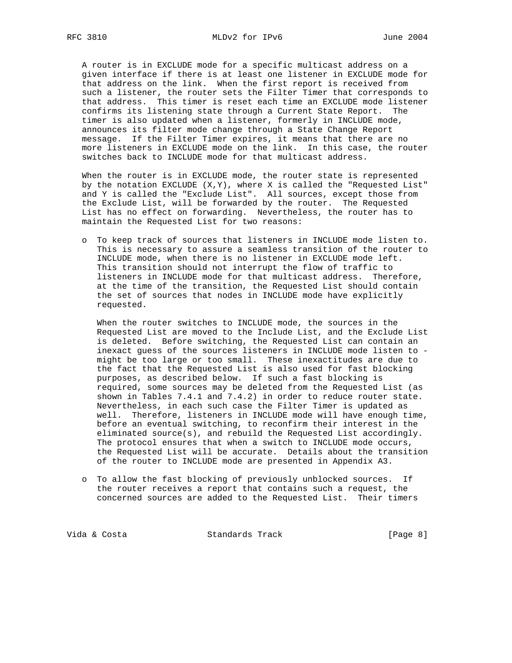A router is in EXCLUDE mode for a specific multicast address on a given interface if there is at least one listener in EXCLUDE mode for that address on the link. When the first report is received from such a listener, the router sets the Filter Timer that corresponds to that address. This timer is reset each time an EXCLUDE mode listener confirms its listening state through a Current State Report. The timer is also updated when a listener, formerly in INCLUDE mode, announces its filter mode change through a State Change Report message. If the Filter Timer expires, it means that there are no more listeners in EXCLUDE mode on the link. In this case, the router switches back to INCLUDE mode for that multicast address.

 When the router is in EXCLUDE mode, the router state is represented by the notation EXCLUDE  $(X, Y)$ , where X is called the "Requested List" and Y is called the "Exclude List". All sources, except those from the Exclude List, will be forwarded by the router. The Requested List has no effect on forwarding. Nevertheless, the router has to maintain the Requested List for two reasons:

 o To keep track of sources that listeners in INCLUDE mode listen to. This is necessary to assure a seamless transition of the router to INCLUDE mode, when there is no listener in EXCLUDE mode left. This transition should not interrupt the flow of traffic to listeners in INCLUDE mode for that multicast address. Therefore, at the time of the transition, the Requested List should contain the set of sources that nodes in INCLUDE mode have explicitly requested.

 When the router switches to INCLUDE mode, the sources in the Requested List are moved to the Include List, and the Exclude List is deleted. Before switching, the Requested List can contain an inexact guess of the sources listeners in INCLUDE mode listen to might be too large or too small. These inexactitudes are due to the fact that the Requested List is also used for fast blocking purposes, as described below. If such a fast blocking is required, some sources may be deleted from the Requested List (as shown in Tables 7.4.1 and 7.4.2) in order to reduce router state. Nevertheless, in each such case the Filter Timer is updated as well. Therefore, listeners in INCLUDE mode will have enough time, before an eventual switching, to reconfirm their interest in the eliminated source(s), and rebuild the Requested List accordingly. The protocol ensures that when a switch to INCLUDE mode occurs, the Requested List will be accurate. Details about the transition of the router to INCLUDE mode are presented in Appendix A3.

 o To allow the fast blocking of previously unblocked sources. If the router receives a report that contains such a request, the concerned sources are added to the Requested List. Their timers

Vida & Costa Standards Track [Page 8]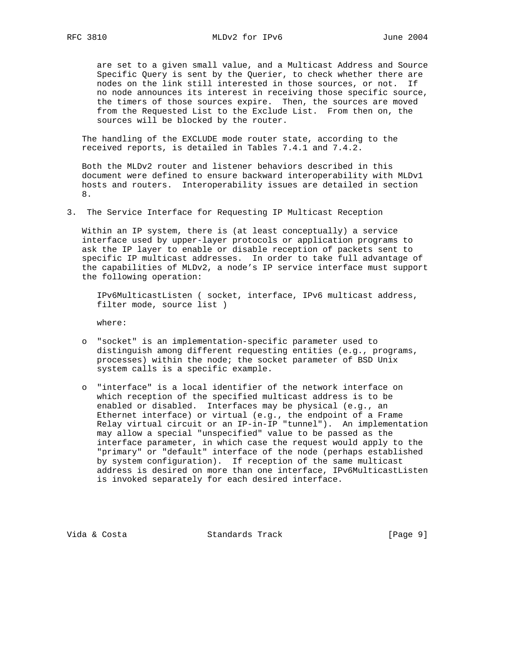are set to a given small value, and a Multicast Address and Source Specific Query is sent by the Querier, to check whether there are nodes on the link still interested in those sources, or not. If no node announces its interest in receiving those specific source, the timers of those sources expire. Then, the sources are moved from the Requested List to the Exclude List. From then on, the sources will be blocked by the router.

 The handling of the EXCLUDE mode router state, according to the received reports, is detailed in Tables 7.4.1 and 7.4.2.

 Both the MLDv2 router and listener behaviors described in this document were defined to ensure backward interoperability with MLDv1 hosts and routers. Interoperability issues are detailed in section 8.

3. The Service Interface for Requesting IP Multicast Reception

 Within an IP system, there is (at least conceptually) a service interface used by upper-layer protocols or application programs to ask the IP layer to enable or disable reception of packets sent to specific IP multicast addresses. In order to take full advantage of the capabilities of MLDv2, a node's IP service interface must support the following operation:

 IPv6MulticastListen ( socket, interface, IPv6 multicast address, filter mode, source list )

where:

- o "socket" is an implementation-specific parameter used to distinguish among different requesting entities (e.g., programs, processes) within the node; the socket parameter of BSD Unix system calls is a specific example.
- o "interface" is a local identifier of the network interface on which reception of the specified multicast address is to be enabled or disabled. Interfaces may be physical (e.g., an Ethernet interface) or virtual (e.g., the endpoint of a Frame Relay virtual circuit or an IP-in-IP "tunnel"). An implementation may allow a special "unspecified" value to be passed as the interface parameter, in which case the request would apply to the "primary" or "default" interface of the node (perhaps established by system configuration). If reception of the same multicast address is desired on more than one interface, IPv6MulticastListen is invoked separately for each desired interface.

Vida & Costa Standards Track [Page 9]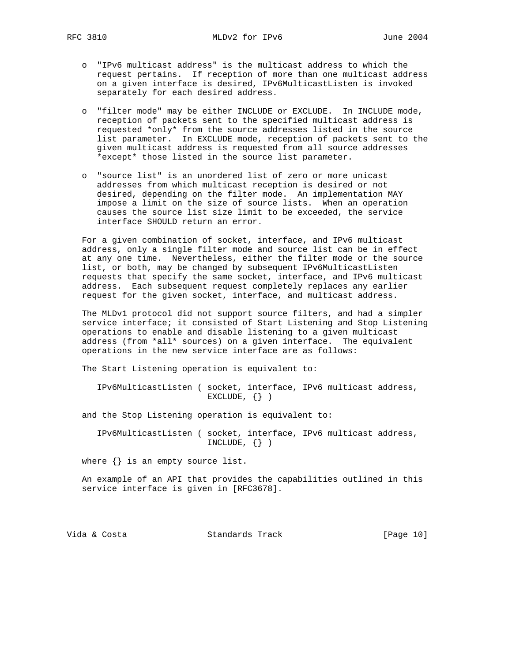- o "IPv6 multicast address" is the multicast address to which the request pertains. If reception of more than one multicast address on a given interface is desired, IPv6MulticastListen is invoked separately for each desired address.
- o "filter mode" may be either INCLUDE or EXCLUDE. In INCLUDE mode, reception of packets sent to the specified multicast address is requested \*only\* from the source addresses listed in the source list parameter. In EXCLUDE mode, reception of packets sent to the given multicast address is requested from all source addresses \*except\* those listed in the source list parameter.
- o "source list" is an unordered list of zero or more unicast addresses from which multicast reception is desired or not desired, depending on the filter mode. An implementation MAY impose a limit on the size of source lists. When an operation causes the source list size limit to be exceeded, the service interface SHOULD return an error.

 For a given combination of socket, interface, and IPv6 multicast address, only a single filter mode and source list can be in effect at any one time. Nevertheless, either the filter mode or the source list, or both, may be changed by subsequent IPv6MulticastListen requests that specify the same socket, interface, and IPv6 multicast address. Each subsequent request completely replaces any earlier request for the given socket, interface, and multicast address.

 The MLDv1 protocol did not support source filters, and had a simpler service interface; it consisted of Start Listening and Stop Listening operations to enable and disable listening to a given multicast address (from \*all\* sources) on a given interface. The equivalent operations in the new service interface are as follows:

The Start Listening operation is equivalent to:

 IPv6MulticastListen ( socket, interface, IPv6 multicast address, EXCLUDE,  $\{\}$ )

and the Stop Listening operation is equivalent to:

 IPv6MulticastListen ( socket, interface, IPv6 multicast address, INCLUDE,  $\{\}$  )

where  $\{\}$  is an empty source list.

 An example of an API that provides the capabilities outlined in this service interface is given in [RFC3678].

Vida & Costa Standards Track [Page 10]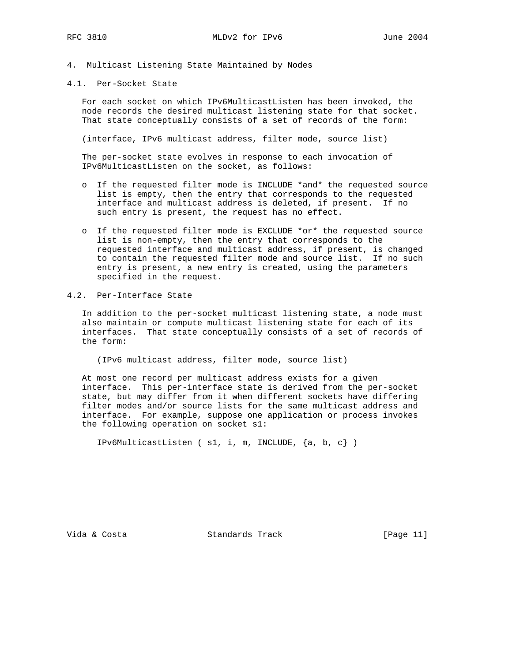- 4. Multicast Listening State Maintained by Nodes
- 4.1. Per-Socket State

 For each socket on which IPv6MulticastListen has been invoked, the node records the desired multicast listening state for that socket. That state conceptually consists of a set of records of the form:

(interface, IPv6 multicast address, filter mode, source list)

 The per-socket state evolves in response to each invocation of IPv6MulticastListen on the socket, as follows:

- o If the requested filter mode is INCLUDE \*and\* the requested source list is empty, then the entry that corresponds to the requested interface and multicast address is deleted, if present. If no such entry is present, the request has no effect.
- o If the requested filter mode is EXCLUDE \*or\* the requested source list is non-empty, then the entry that corresponds to the requested interface and multicast address, if present, is changed to contain the requested filter mode and source list. If no such entry is present, a new entry is created, using the parameters specified in the request.
- 4.2. Per-Interface State

 In addition to the per-socket multicast listening state, a node must also maintain or compute multicast listening state for each of its interfaces. That state conceptually consists of a set of records of the form:

(IPv6 multicast address, filter mode, source list)

 At most one record per multicast address exists for a given interface. This per-interface state is derived from the per-socket state, but may differ from it when different sockets have differing filter modes and/or source lists for the same multicast address and interface. For example, suppose one application or process invokes the following operation on socket s1:

IPv6MulticastListen ( s1, i, m, INCLUDE, {a, b, c} )

Vida & Costa Standards Track [Page 11]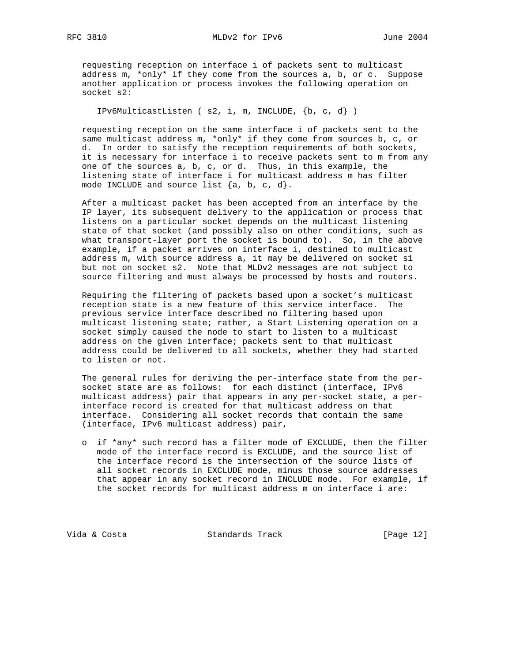requesting reception on interface i of packets sent to multicast address m, \*only\* if they come from the sources a, b, or c. Suppose another application or process invokes the following operation on socket s2:

IPv6MulticastListen ( s2, i, m, INCLUDE, {b, c, d} )

 requesting reception on the same interface i of packets sent to the same multicast address m, \*only\* if they come from sources b, c, or d. In order to satisfy the reception requirements of both sockets, it is necessary for interface i to receive packets sent to m from any one of the sources a, b, c, or d. Thus, in this example, the listening state of interface i for multicast address m has filter mode INCLUDE and source list  $\{a, b, c, d\}$ .

 After a multicast packet has been accepted from an interface by the IP layer, its subsequent delivery to the application or process that listens on a particular socket depends on the multicast listening state of that socket (and possibly also on other conditions, such as what transport-layer port the socket is bound to). So, in the above example, if a packet arrives on interface i, destined to multicast address m, with source address a, it may be delivered on socket s1 but not on socket s2. Note that MLDv2 messages are not subject to source filtering and must always be processed by hosts and routers.

 Requiring the filtering of packets based upon a socket's multicast reception state is a new feature of this service interface. The previous service interface described no filtering based upon multicast listening state; rather, a Start Listening operation on a socket simply caused the node to start to listen to a multicast address on the given interface; packets sent to that multicast address could be delivered to all sockets, whether they had started to listen or not.

 The general rules for deriving the per-interface state from the per socket state are as follows: for each distinct (interface, IPv6 multicast address) pair that appears in any per-socket state, a per interface record is created for that multicast address on that interface. Considering all socket records that contain the same (interface, IPv6 multicast address) pair,

 o if \*any\* such record has a filter mode of EXCLUDE, then the filter mode of the interface record is EXCLUDE, and the source list of the interface record is the intersection of the source lists of all socket records in EXCLUDE mode, minus those source addresses that appear in any socket record in INCLUDE mode. For example, if the socket records for multicast address m on interface i are:

Vida & Costa Standards Track [Page 12]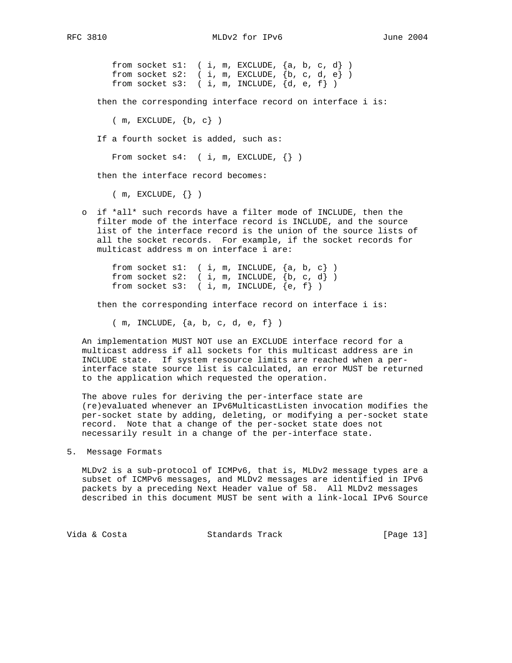from socket s1:  $(i, m, EXCLUDE, {a, b, c, d})$  from socket s2: ( i, m, EXCLUDE, {b, c, d, e} ) from socket s3: ( i, m, INCLUDE, {d, e, f} )

then the corresponding interface record on interface i is:

 $(m, EXCLUDE, {b, c})$ 

If a fourth socket is added, such as:

From socket  $s4:$  ( i, m, EXCLUDE,  $\{\}\)$ 

then the interface record becomes:

 $(m, EXCLUDE, \{\})$ 

 o if \*all\* such records have a filter mode of INCLUDE, then the filter mode of the interface record is INCLUDE, and the source list of the interface record is the union of the source lists of all the socket records. For example, if the socket records for multicast address m on interface i are:

from socket s1:  $(i, m, INCLUDE, {a, b, c})$ from socket s2: ( i, m, INCLUDE,  $\{b, c, d\}$  ) from socket s3: ( i, m, INCLUDE, {e, f} )

then the corresponding interface record on interface i is:

( m, INCLUDE, {a, b, c, d, e, f} )

 An implementation MUST NOT use an EXCLUDE interface record for a multicast address if all sockets for this multicast address are in INCLUDE state. If system resource limits are reached when a per interface state source list is calculated, an error MUST be returned to the application which requested the operation.

 The above rules for deriving the per-interface state are (re)evaluated whenever an IPv6MulticastListen invocation modifies the per-socket state by adding, deleting, or modifying a per-socket state record. Note that a change of the per-socket state does not necessarily result in a change of the per-interface state.

5. Message Formats

 MLDv2 is a sub-protocol of ICMPv6, that is, MLDv2 message types are a subset of ICMPv6 messages, and MLDv2 messages are identified in IPv6 packets by a preceding Next Header value of 58. All MLDv2 messages described in this document MUST be sent with a link-local IPv6 Source

Vida & Costa Standards Track [Page 13]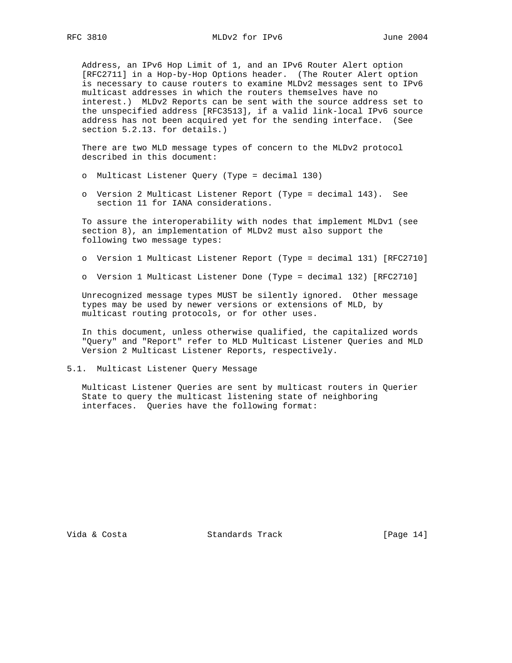Address, an IPv6 Hop Limit of 1, and an IPv6 Router Alert option [RFC2711] in a Hop-by-Hop Options header. (The Router Alert option is necessary to cause routers to examine MLDv2 messages sent to IPv6 multicast addresses in which the routers themselves have no interest.) MLDv2 Reports can be sent with the source address set to the unspecified address [RFC3513], if a valid link-local IPv6 source address has not been acquired yet for the sending interface. (See section 5.2.13. for details.)

 There are two MLD message types of concern to the MLDv2 protocol described in this document:

- o Multicast Listener Query (Type = decimal 130)
- o Version 2 Multicast Listener Report (Type = decimal 143). See section 11 for IANA considerations.

 To assure the interoperability with nodes that implement MLDv1 (see section 8), an implementation of MLDv2 must also support the following two message types:

- o Version 1 Multicast Listener Report (Type = decimal 131) [RFC2710]
- o Version 1 Multicast Listener Done (Type = decimal 132) [RFC2710]

 Unrecognized message types MUST be silently ignored. Other message types may be used by newer versions or extensions of MLD, by multicast routing protocols, or for other uses.

 In this document, unless otherwise qualified, the capitalized words "Query" and "Report" refer to MLD Multicast Listener Queries and MLD Version 2 Multicast Listener Reports, respectively.

## 5.1. Multicast Listener Query Message

 Multicast Listener Queries are sent by multicast routers in Querier State to query the multicast listening state of neighboring interfaces. Queries have the following format:

Vida & Costa Standards Track [Page 14]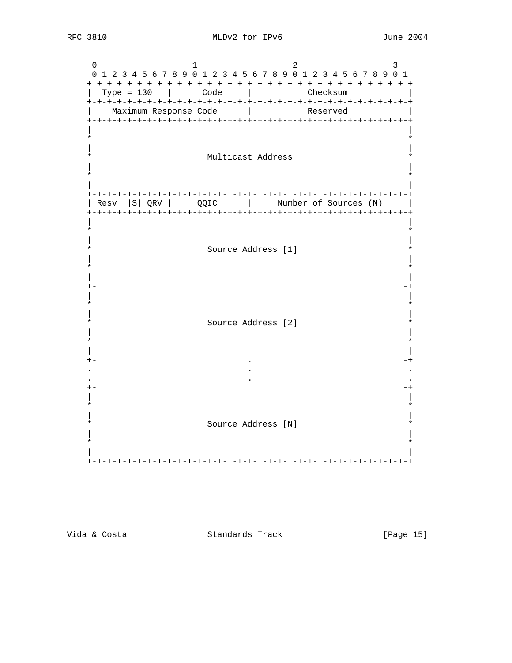0  $1$  2 3 0 1 2 3 4 5 6 7 8 9 0 1 2 3 4 5 6 7 8 9 0 1 2 3 4 5 6 7 8 9 0 1 +-+-+-+-+-+-+-+-+-+-+-+-+-+-+-+-+-+-+-+-+-+-+-+-+-+-+-+-+-+-+-+-+ | Type = 130 | Code | Checksum | +-+-+-+-+-+-+-+-+-+-+-+-+-+-+-+-+-+-+-+-+-+-+-+-+-+-+-+-+-+-+-+-+ | Maximum Response Code | Reserved +-+-+-+-+-+-+-+-+-+-+-+-+-+-+-+-+-+-+-+-+-+-+-+-+-+-+-+-+-+-+-+-+ | |  $\star$  \* | | Multicast Address | |  $\star$   $\star$  | | +-+-+-+-+-+-+-+-+-+-+-+-+-+-+-+-+-+-+-+-+-+-+-+-+-+-+-+-+-+-+-+-+ | Resv | S| QRV | QQIC | Number of Sources (N) | +-+-+-+-+-+-+-+-+-+-+-+-+-+-+-+-+-+-+-+-+-+-+-+-+-+-+-+-+-+-+-+-+ | |  $\star$   $\star$  | | \* Source Address [1] \* | |  $\star$   $\star$  | | +- -+ | |  $\star$  \* | | \* Source Address [2] \* | |  $\star$   $\star$  | | +- . -+ . . . . . . +- -+ | |  $\star$   $\star$  | | \* Source Address [N] \* | |  $\star$  \* | | +-+-+-+-+-+-+-+-+-+-+-+-+-+-+-+-+-+-+-+-+-+-+-+-+-+-+-+-+-+-+-+-+

Vida & Costa Standards Track [Page 15]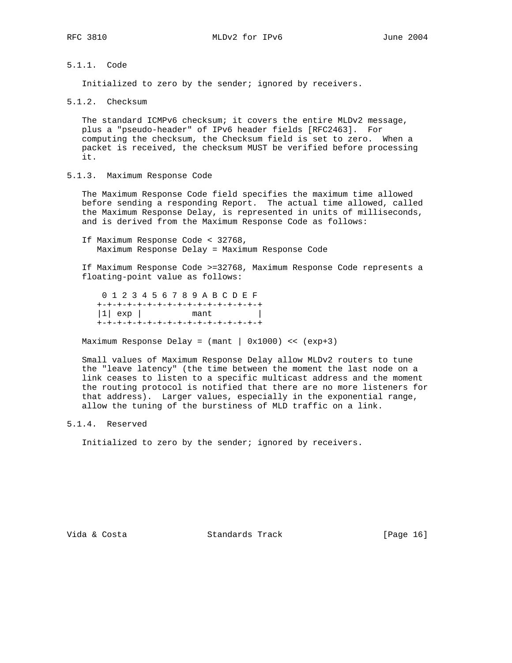5.1.1. Code

Initialized to zero by the sender; ignored by receivers.

5.1.2. Checksum

 The standard ICMPv6 checksum; it covers the entire MLDv2 message, plus a "pseudo-header" of IPv6 header fields [RFC2463]. For computing the checksum, the Checksum field is set to zero. When a packet is received, the checksum MUST be verified before processing it.

5.1.3. Maximum Response Code

 The Maximum Response Code field specifies the maximum time allowed before sending a responding Report. The actual time allowed, called the Maximum Response Delay, is represented in units of milliseconds, and is derived from the Maximum Response Code as follows:

 If Maximum Response Code < 32768, Maximum Response Delay = Maximum Response Code

 If Maximum Response Code >=32768, Maximum Response Code represents a floating-point value as follows:

 0 1 2 3 4 5 6 7 8 9 A B C D E F +-+-+-+-+-+-+-+-+-+-+-+-+-+-+-+-+  $|1|$  exp  $|$  mant +-+-+-+-+-+-+-+-+-+-+-+-+-+-+-+-+

Maximum Response Delay = (mant | 0x1000) << (exp+3)

 Small values of Maximum Response Delay allow MLDv2 routers to tune the "leave latency" (the time between the moment the last node on a link ceases to listen to a specific multicast address and the moment the routing protocol is notified that there are no more listeners for that address). Larger values, especially in the exponential range, allow the tuning of the burstiness of MLD traffic on a link.

### 5.1.4. Reserved

Initialized to zero by the sender; ignored by receivers.

Vida & Costa Standards Track [Page 16]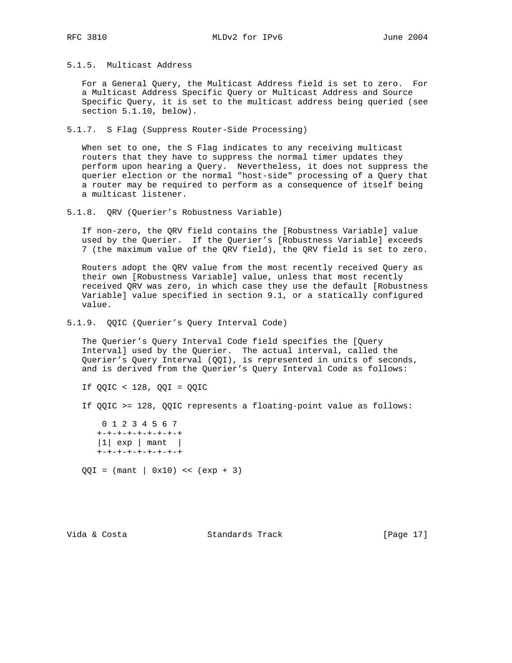5.1.5. Multicast Address

 For a General Query, the Multicast Address field is set to zero. For a Multicast Address Specific Query or Multicast Address and Source Specific Query, it is set to the multicast address being queried (see section 5.1.10, below).

5.1.7. S Flag (Suppress Router-Side Processing)

 When set to one, the S Flag indicates to any receiving multicast routers that they have to suppress the normal timer updates they perform upon hearing a Query. Nevertheless, it does not suppress the querier election or the normal "host-side" processing of a Query that a router may be required to perform as a consequence of itself being a multicast listener.

5.1.8. QRV (Querier's Robustness Variable)

 If non-zero, the QRV field contains the [Robustness Variable] value used by the Querier. If the Querier's [Robustness Variable] exceeds 7 (the maximum value of the QRV field), the QRV field is set to zero.

 Routers adopt the QRV value from the most recently received Query as their own [Robustness Variable] value, unless that most recently received QRV was zero, in which case they use the default [Robustness Variable] value specified in section 9.1, or a statically configured value.

5.1.9. QQIC (Querier's Query Interval Code)

 The Querier's Query Interval Code field specifies the [Query Interval] used by the Querier. The actual interval, called the Querier's Query Interval (QQI), is represented in units of seconds, and is derived from the Querier's Query Interval Code as follows:

If  $QQIC < 128$ ,  $QQI = QQIC$ 

If QQIC >= 128, QQIC represents a floating-point value as follows:

 0 1 2 3 4 5 6 7 +-+-+-+-+-+-+-+-+  $|1|$  exp | mant | +-+-+-+-+-+-+-+-+

 $QQI = (mant | 0x10) << (exp + 3)$ 

Vida & Costa Standards Track [Page 17]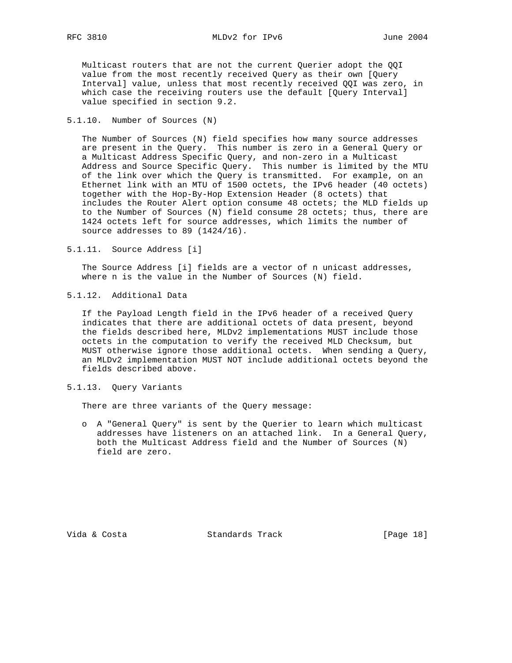Multicast routers that are not the current Querier adopt the QQI value from the most recently received Query as their own [Query Interval] value, unless that most recently received QQI was zero, in which case the receiving routers use the default [Query Interval] value specified in section 9.2.

### 5.1.10. Number of Sources (N)

 The Number of Sources (N) field specifies how many source addresses are present in the Query. This number is zero in a General Query or a Multicast Address Specific Query, and non-zero in a Multicast Address and Source Specific Query. This number is limited by the MTU of the link over which the Query is transmitted. For example, on an Ethernet link with an MTU of 1500 octets, the IPv6 header (40 octets) together with the Hop-By-Hop Extension Header (8 octets) that includes the Router Alert option consume 48 octets; the MLD fields up to the Number of Sources (N) field consume 28 octets; thus, there are 1424 octets left for source addresses, which limits the number of source addresses to 89 (1424/16).

5.1.11. Source Address [i]

 The Source Address [i] fields are a vector of n unicast addresses, where n is the value in the Number of Sources (N) field.

5.1.12. Additional Data

 If the Payload Length field in the IPv6 header of a received Query indicates that there are additional octets of data present, beyond the fields described here, MLDv2 implementations MUST include those octets in the computation to verify the received MLD Checksum, but MUST otherwise ignore those additional octets. When sending a Query, an MLDv2 implementation MUST NOT include additional octets beyond the fields described above.

## 5.1.13. Query Variants

There are three variants of the Query message:

 o A "General Query" is sent by the Querier to learn which multicast addresses have listeners on an attached link. In a General Query, both the Multicast Address field and the Number of Sources (N) field are zero.

Vida & Costa Standards Track [Page 18]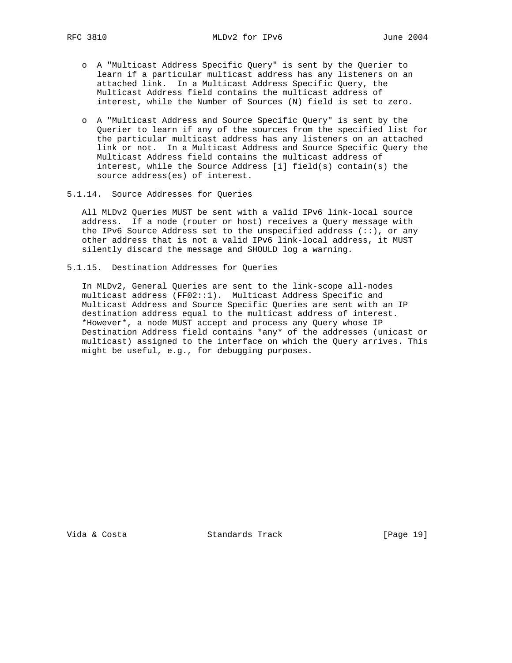- o A "Multicast Address Specific Query" is sent by the Querier to learn if a particular multicast address has any listeners on an attached link. In a Multicast Address Specific Query, the Multicast Address field contains the multicast address of interest, while the Number of Sources (N) field is set to zero.
- o A "Multicast Address and Source Specific Query" is sent by the Querier to learn if any of the sources from the specified list for the particular multicast address has any listeners on an attached link or not. In a Multicast Address and Source Specific Query the Multicast Address field contains the multicast address of interest, while the Source Address [i] field(s) contain(s) the source address(es) of interest.
- 5.1.14. Source Addresses for Queries

 All MLDv2 Queries MUST be sent with a valid IPv6 link-local source address. If a node (router or host) receives a Query message with the IPv6 Source Address set to the unspecified address (::), or any other address that is not a valid IPv6 link-local address, it MUST silently discard the message and SHOULD log a warning.

5.1.15. Destination Addresses for Queries

 In MLDv2, General Queries are sent to the link-scope all-nodes multicast address (FF02::1). Multicast Address Specific and Multicast Address and Source Specific Queries are sent with an IP destination address equal to the multicast address of interest. \*However\*, a node MUST accept and process any Query whose IP Destination Address field contains \*any\* of the addresses (unicast or multicast) assigned to the interface on which the Query arrives. This might be useful, e.g., for debugging purposes.

Vida & Costa Standards Track [Page 19]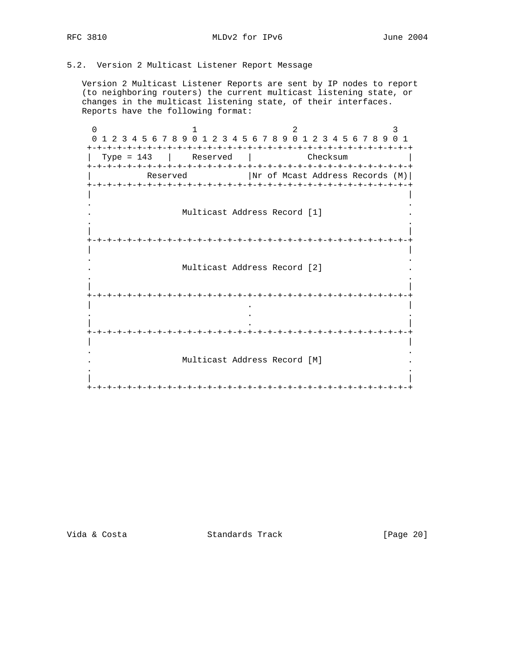## 5.2. Version 2 Multicast Listener Report Message

 Version 2 Multicast Listener Reports are sent by IP nodes to report (to neighboring routers) the current multicast listening state, or changes in the multicast listening state, of their interfaces. Reports have the following format:

 $0$  1 2 3 0 1 2 3 4 5 6 7 8 9 0 1 2 3 4 5 6 7 8 9 0 1 2 3 4 5 6 7 8 9 0 1 +-+-+-+-+-+-+-+-+-+-+-+-+-+-+-+-+-+-+-+-+-+-+-+-+-+-+-+-+-+-+-+-+ | Type = 143 | Reserved | Checksum | +-+-+-+-+-+-+-+-+-+-+-+-+-+-+-+-+-+-+-+-+-+-+-+-+-+-+-+-+-+-+-+-+ Reserved | Nr of Mcast Address Records (M) +-+-+-+-+-+-+-+-+-+-+-+-+-+-+-+-+-+-+-+-+-+-+-+-+-+-+-+-+-+-+-+-+ | | . . . Multicast Address Record [1] . . . | | +-+-+-+-+-+-+-+-+-+-+-+-+-+-+-+-+-+-+-+-+-+-+-+-+-+-+-+-+-+-+-+-+ | | . . . Multicast Address Record [2] . . . | | +-+-+-+-+-+-+-+-+-+-+-+-+-+-+-+-+-+-+-+-+-+-+-+-+-+-+-+-+-+-+-+-+ | . | . . . | . | +-+-+-+-+-+-+-+-+-+-+-+-+-+-+-+-+-+-+-+-+-+-+-+-+-+-+-+-+-+-+-+-+ | | . . . Multicast Address Record [M] . . . | | +-+-+-+-+-+-+-+-+-+-+-+-+-+-+-+-+-+-+-+-+-+-+-+-+-+-+-+-+-+-+-+-+

Vida & Costa Standards Track [Page 20]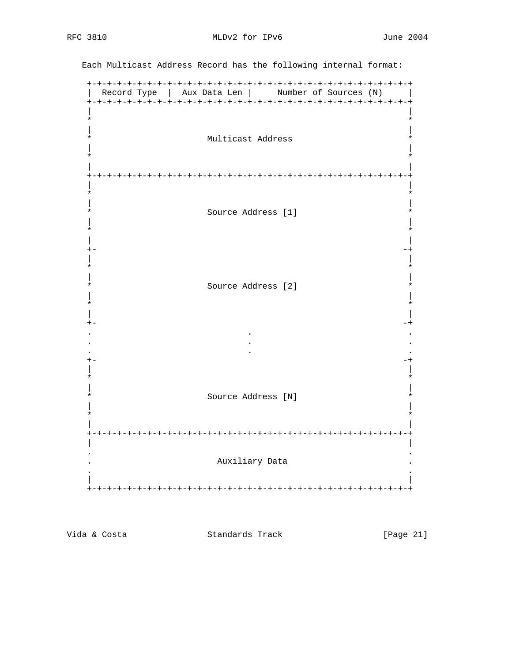# RFC 3810 MLDv2 for IPv6 June 2004

 +-+-+-+-+-+-+-+-+-+-+-+-+-+-+-+-+-+-+-+-+-+-+-+-+-+-+-+-+-+-+-+-+ | Record Type | Aux Data Len | Number of Sources (N) | +-+-+-+-+-+-+-+-+-+-+-+-+-+-+-+-+-+-+-+-+-+-+-+-+-+-+-+-+-+-+-+-+ | |  $\star$   $\star$  | | Multicast Address | |  $\star$   $\star$  | | +-+-+-+-+-+-+-+-+-+-+-+-+-+-+-+-+-+-+-+-+-+-+-+-+-+-+-+-+-+-+-+-+ | |  $\star$  \* | | Source Address [1] | |  $\star$   $\star$  | | +- -+ | |  $\star$   $\star$  | | \* Source Address [2] \* | |  $\star$  \* | | +- -+ . . . . . . . . . +- -+ | |  $\star$   $\star$  | | Source Address [N] | |  $\star$  \* | | +-+-+-+-+-+-+-+-+-+-+-+-+-+-+-+-+-+-+-+-+-+-+-+-+-+-+-+-+-+-+-+-+ | | . . . Auxiliary Data . . . | | +-+-+-+-+-+-+-+-+-+-+-+-+-+-+-+-+-+-+-+-+-+-+-+-+-+-+-+-+-+-+-+-+

Each Multicast Address Record has the following internal format:

Vida & Costa Standards Track [Page 21]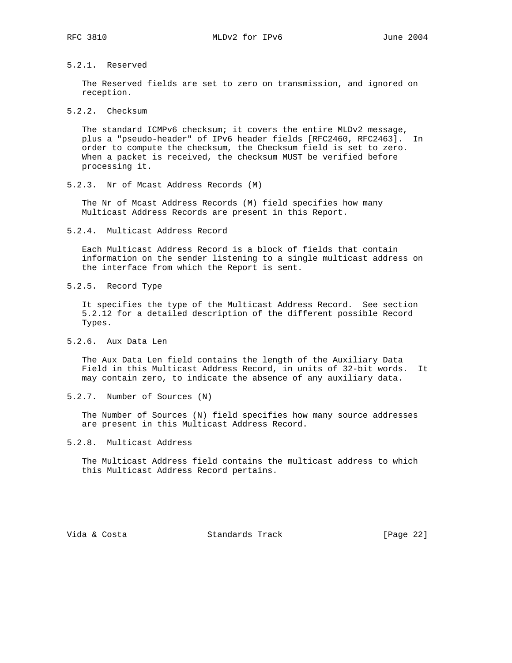## 5.2.1. Reserved

 The Reserved fields are set to zero on transmission, and ignored on reception.

## 5.2.2. Checksum

 The standard ICMPv6 checksum; it covers the entire MLDv2 message, plus a "pseudo-header" of IPv6 header fields [RFC2460, RFC2463]. In order to compute the checksum, the Checksum field is set to zero. When a packet is received, the checksum MUST be verified before processing it.

5.2.3. Nr of Mcast Address Records (M)

 The Nr of Mcast Address Records (M) field specifies how many Multicast Address Records are present in this Report.

5.2.4. Multicast Address Record

 Each Multicast Address Record is a block of fields that contain information on the sender listening to a single multicast address on the interface from which the Report is sent.

5.2.5. Record Type

 It specifies the type of the Multicast Address Record. See section 5.2.12 for a detailed description of the different possible Record Types.

5.2.6. Aux Data Len

 The Aux Data Len field contains the length of the Auxiliary Data Field in this Multicast Address Record, in units of 32-bit words. It may contain zero, to indicate the absence of any auxiliary data.

5.2.7. Number of Sources (N)

 The Number of Sources (N) field specifies how many source addresses are present in this Multicast Address Record.

5.2.8. Multicast Address

 The Multicast Address field contains the multicast address to which this Multicast Address Record pertains.

Vida & Costa Standards Track [Page 22]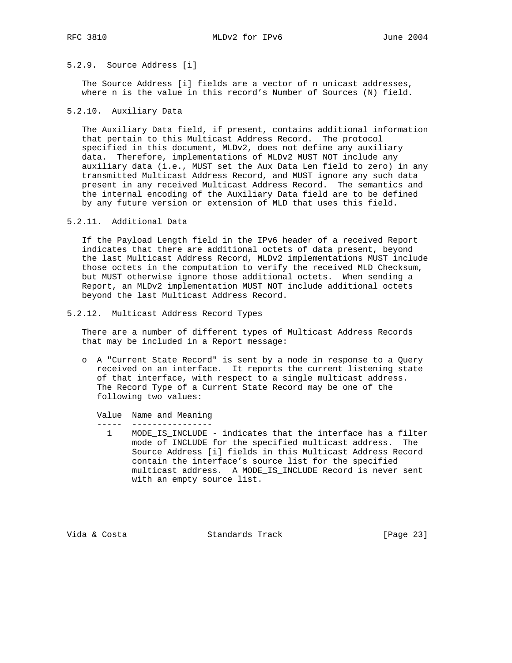## 5.2.9. Source Address [i]

 The Source Address [i] fields are a vector of n unicast addresses, where n is the value in this record's Number of Sources (N) field.

## 5.2.10. Auxiliary Data

 The Auxiliary Data field, if present, contains additional information that pertain to this Multicast Address Record. The protocol specified in this document, MLDv2, does not define any auxiliary data. Therefore, implementations of MLDv2 MUST NOT include any auxiliary data (i.e., MUST set the Aux Data Len field to zero) in any transmitted Multicast Address Record, and MUST ignore any such data present in any received Multicast Address Record. The semantics and the internal encoding of the Auxiliary Data field are to be defined by any future version or extension of MLD that uses this field.

5.2.11. Additional Data

 If the Payload Length field in the IPv6 header of a received Report indicates that there are additional octets of data present, beyond the last Multicast Address Record, MLDv2 implementations MUST include those octets in the computation to verify the received MLD Checksum, but MUST otherwise ignore those additional octets. When sending a Report, an MLDv2 implementation MUST NOT include additional octets beyond the last Multicast Address Record.

5.2.12. Multicast Address Record Types

 There are a number of different types of Multicast Address Records that may be included in a Report message:

 o A "Current State Record" is sent by a node in response to a Query received on an interface. It reports the current listening state of that interface, with respect to a single multicast address. The Record Type of a Current State Record may be one of the following two values:

Value Name and Meaning

----- ----------------

 1 MODE\_IS\_INCLUDE - indicates that the interface has a filter mode of INCLUDE for the specified multicast address. The Source Address [i] fields in this Multicast Address Record contain the interface's source list for the specified multicast address. A MODE\_IS\_INCLUDE Record is never sent with an empty source list.

Vida & Costa Standards Track [Page 23]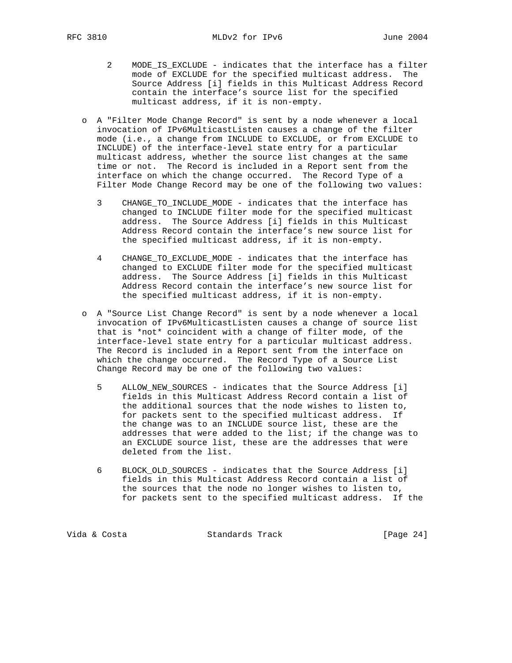- 2 MODE\_IS\_EXCLUDE indicates that the interface has a filter mode of EXCLUDE for the specified multicast address. The Source Address [i] fields in this Multicast Address Record contain the interface's source list for the specified multicast address, if it is non-empty.
- o A "Filter Mode Change Record" is sent by a node whenever a local invocation of IPv6MulticastListen causes a change of the filter mode (i.e., a change from INCLUDE to EXCLUDE, or from EXCLUDE to INCLUDE) of the interface-level state entry for a particular multicast address, whether the source list changes at the same time or not. The Record is included in a Report sent from the interface on which the change occurred. The Record Type of a Filter Mode Change Record may be one of the following two values:
	- 3 CHANGE\_TO\_INCLUDE\_MODE indicates that the interface has changed to INCLUDE filter mode for the specified multicast address. The Source Address [i] fields in this Multicast Address Record contain the interface's new source list for the specified multicast address, if it is non-empty.
	- 4 CHANGE\_TO\_EXCLUDE\_MODE indicates that the interface has changed to EXCLUDE filter mode for the specified multicast address. The Source Address [i] fields in this Multicast Address Record contain the interface's new source list for the specified multicast address, if it is non-empty.
- o A "Source List Change Record" is sent by a node whenever a local invocation of IPv6MulticastListen causes a change of source list that is \*not\* coincident with a change of filter mode, of the interface-level state entry for a particular multicast address. The Record is included in a Report sent from the interface on which the change occurred. The Record Type of a Source List Change Record may be one of the following two values:
	- 5 ALLOW\_NEW\_SOURCES indicates that the Source Address [i] fields in this Multicast Address Record contain a list of the additional sources that the node wishes to listen to, for packets sent to the specified multicast address. If the change was to an INCLUDE source list, these are the addresses that were added to the list; if the change was to an EXCLUDE source list, these are the addresses that were deleted from the list.
	- 6 BLOCK\_OLD\_SOURCES indicates that the Source Address [i] fields in this Multicast Address Record contain a list of the sources that the node no longer wishes to listen to, for packets sent to the specified multicast address. If the

Vida & Costa Standards Track [Page 24]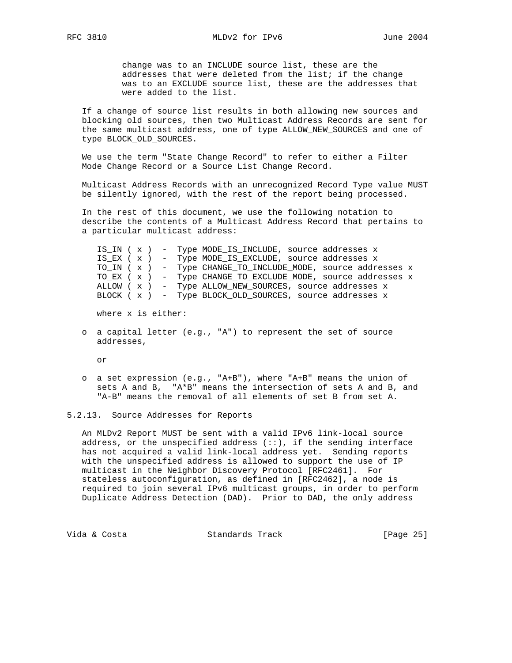change was to an INCLUDE source list, these are the addresses that were deleted from the list; if the change was to an EXCLUDE source list, these are the addresses that were added to the list.

 If a change of source list results in both allowing new sources and blocking old sources, then two Multicast Address Records are sent for the same multicast address, one of type ALLOW\_NEW\_SOURCES and one of type BLOCK\_OLD\_SOURCES.

 We use the term "State Change Record" to refer to either a Filter Mode Change Record or a Source List Change Record.

 Multicast Address Records with an unrecognized Record Type value MUST be silently ignored, with the rest of the report being processed.

 In the rest of this document, we use the following notation to describe the contents of a Multicast Address Record that pertains to a particular multicast address:

 IS\_IN ( x ) - Type MODE\_IS\_INCLUDE, source addresses x IS\_EX ( x ) - Type MODE\_IS\_EXCLUDE, source addresses x TO\_IN ( x ) - Type CHANGE\_TO\_INCLUDE\_MODE, source addresses x TO\_EX ( x ) - Type CHANGE\_TO\_EXCLUDE\_MODE, source addresses x ALLOW ( x ) - Type ALLOW\_NEW\_SOURCES, source addresses x BLOCK ( x ) - Type BLOCK\_OLD\_SOURCES, source addresses x

where x is either:

 o a capital letter (e.g., "A") to represent the set of source addresses,

or

 o a set expression (e.g., "A+B"), where "A+B" means the union of sets A and B, "A\*B" means the intersection of sets A and B, and "A-B" means the removal of all elements of set B from set A.

5.2.13. Source Addresses for Reports

 An MLDv2 Report MUST be sent with a valid IPv6 link-local source address, or the unspecified address  $(:;),$  if the sending interface has not acquired a valid link-local address yet. Sending reports with the unspecified address is allowed to support the use of IP multicast in the Neighbor Discovery Protocol [RFC2461]. For stateless autoconfiguration, as defined in [RFC2462], a node is required to join several IPv6 multicast groups, in order to perform Duplicate Address Detection (DAD). Prior to DAD, the only address

Vida & Costa Standards Track [Page 25]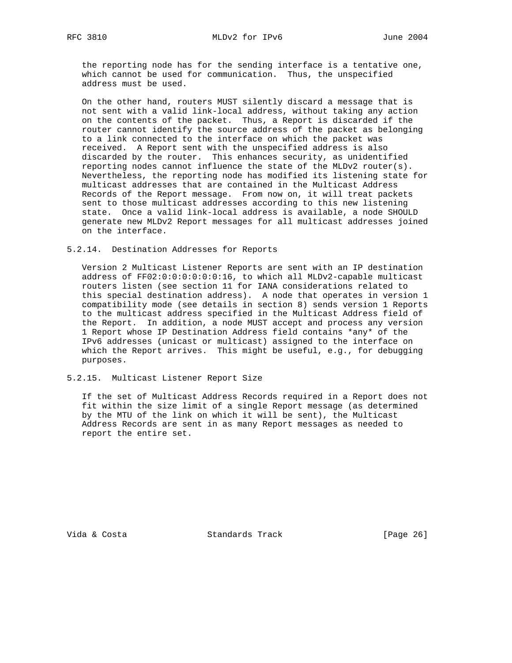the reporting node has for the sending interface is a tentative one, which cannot be used for communication. Thus, the unspecified address must be used.

 On the other hand, routers MUST silently discard a message that is not sent with a valid link-local address, without taking any action on the contents of the packet. Thus, a Report is discarded if the router cannot identify the source address of the packet as belonging to a link connected to the interface on which the packet was received. A Report sent with the unspecified address is also discarded by the router. This enhances security, as unidentified reporting nodes cannot influence the state of the MLDv2 router(s). Nevertheless, the reporting node has modified its listening state for multicast addresses that are contained in the Multicast Address Records of the Report message. From now on, it will treat packets sent to those multicast addresses according to this new listening state. Once a valid link-local address is available, a node SHOULD generate new MLDv2 Report messages for all multicast addresses joined on the interface.

5.2.14. Destination Addresses for Reports

 Version 2 Multicast Listener Reports are sent with an IP destination address of FF02:0:0:0:0:0:0:16, to which all MLDv2-capable multicast routers listen (see section 11 for IANA considerations related to this special destination address). A node that operates in version 1 compatibility mode (see details in section 8) sends version 1 Reports to the multicast address specified in the Multicast Address field of the Report. In addition, a node MUST accept and process any version 1 Report whose IP Destination Address field contains \*any\* of the IPv6 addresses (unicast or multicast) assigned to the interface on which the Report arrives. This might be useful, e.g., for debugging purposes.

5.2.15. Multicast Listener Report Size

 If the set of Multicast Address Records required in a Report does not fit within the size limit of a single Report message (as determined by the MTU of the link on which it will be sent), the Multicast Address Records are sent in as many Report messages as needed to report the entire set.

Vida & Costa Standards Track [Page 26]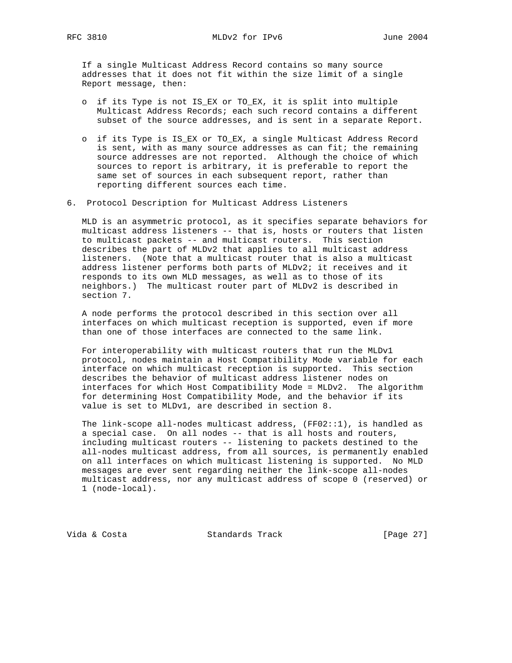If a single Multicast Address Record contains so many source addresses that it does not fit within the size limit of a single Report message, then:

- o if its Type is not IS\_EX or TO\_EX, it is split into multiple Multicast Address Records; each such record contains a different subset of the source addresses, and is sent in a separate Report.
- o if its Type is IS\_EX or TO\_EX, a single Multicast Address Record is sent, with as many source addresses as can fit; the remaining source addresses are not reported. Although the choice of which sources to report is arbitrary, it is preferable to report the same set of sources in each subsequent report, rather than reporting different sources each time.
- 6. Protocol Description for Multicast Address Listeners

 MLD is an asymmetric protocol, as it specifies separate behaviors for multicast address listeners -- that is, hosts or routers that listen to multicast packets -- and multicast routers. This section describes the part of MLDv2 that applies to all multicast address listeners. (Note that a multicast router that is also a multicast address listener performs both parts of MLDv2; it receives and it responds to its own MLD messages, as well as to those of its neighbors.) The multicast router part of MLDv2 is described in section 7.

 A node performs the protocol described in this section over all interfaces on which multicast reception is supported, even if more than one of those interfaces are connected to the same link.

 For interoperability with multicast routers that run the MLDv1 protocol, nodes maintain a Host Compatibility Mode variable for each interface on which multicast reception is supported. This section describes the behavior of multicast address listener nodes on interfaces for which Host Compatibility Mode = MLDv2. The algorithm for determining Host Compatibility Mode, and the behavior if its value is set to MLDv1, are described in section 8.

 The link-scope all-nodes multicast address, (FF02::1), is handled as a special case. On all nodes -- that is all hosts and routers, including multicast routers -- listening to packets destined to the all-nodes multicast address, from all sources, is permanently enabled on all interfaces on which multicast listening is supported. No MLD messages are ever sent regarding neither the link-scope all-nodes multicast address, nor any multicast address of scope 0 (reserved) or 1 (node-local).

Vida & Costa Standards Track [Page 27]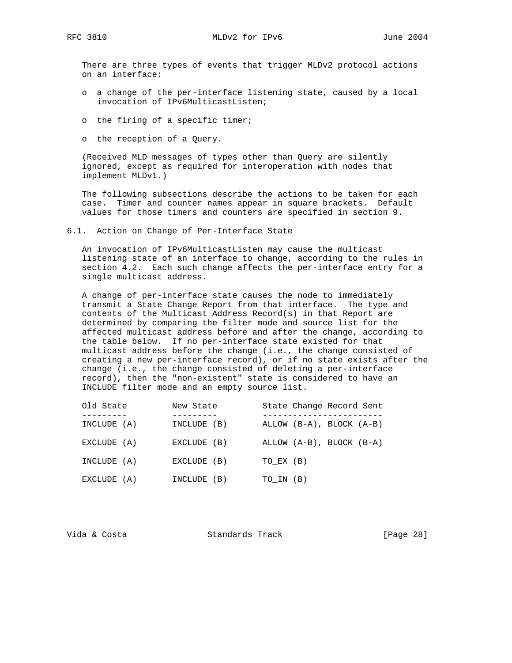There are three types of events that trigger MLDv2 protocol actions on an interface:

- o a change of the per-interface listening state, caused by a local invocation of IPv6MulticastListen;
- o the firing of a specific timer;
- o the reception of a Query.

 (Received MLD messages of types other than Query are silently ignored, except as required for interoperation with nodes that implement MLDv1.)

 The following subsections describe the actions to be taken for each case. Timer and counter names appear in square brackets. Default values for those timers and counters are specified in section 9.

6.1. Action on Change of Per-Interface State

 An invocation of IPv6MulticastListen may cause the multicast listening state of an interface to change, according to the rules in section 4.2. Each such change affects the per-interface entry for a single multicast address.

 A change of per-interface state causes the node to immediately transmit a State Change Report from that interface. The type and contents of the Multicast Address Record(s) in that Report are determined by comparing the filter mode and source list for the affected multicast address before and after the change, according to the table below. If no per-interface state existed for that multicast address before the change (i.e., the change consisted of creating a new per-interface record), or if no state exists after the change (i.e., the change consisted of deleting a per-interface record), then the "non-existent" state is considered to have an INCLUDE filter mode and an empty source list.

| Old State   | New State   | State Change Record Sent |
|-------------|-------------|--------------------------|
| INCLUDE (A) | INCLUDE (B) | ALLOW (B-A), BLOCK (A-B) |
| EXCLUDE (A) | EXCLUDE (B) | ALLOW (A-B), BLOCK (B-A) |
| INCLUDE (A) | EXCLUDE (B) | TO EX (B)                |
| EXCLUDE (A) | INCLUDE (B) | TO IN (B)                |

Vida & Costa Standards Track [Page 28]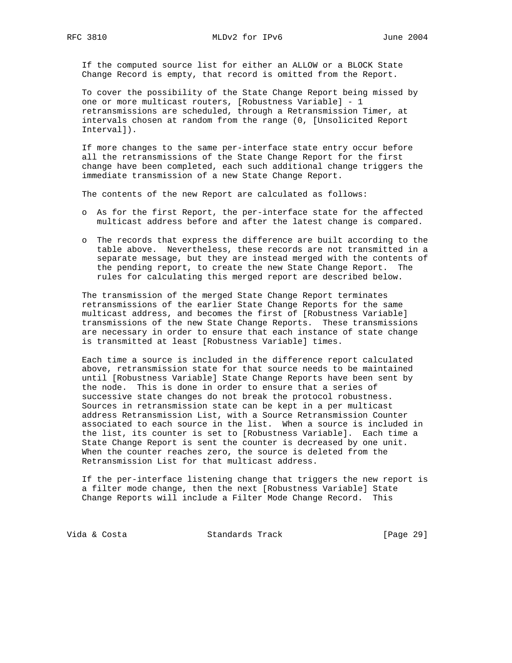If the computed source list for either an ALLOW or a BLOCK State Change Record is empty, that record is omitted from the Report.

 To cover the possibility of the State Change Report being missed by one or more multicast routers, [Robustness Variable] - 1 retransmissions are scheduled, through a Retransmission Timer, at intervals chosen at random from the range (0, [Unsolicited Report Interval]).

 If more changes to the same per-interface state entry occur before all the retransmissions of the State Change Report for the first change have been completed, each such additional change triggers the immediate transmission of a new State Change Report.

The contents of the new Report are calculated as follows:

- o As for the first Report, the per-interface state for the affected multicast address before and after the latest change is compared.
- o The records that express the difference are built according to the table above. Nevertheless, these records are not transmitted in a separate message, but they are instead merged with the contents of the pending report, to create the new State Change Report. The rules for calculating this merged report are described below.

 The transmission of the merged State Change Report terminates retransmissions of the earlier State Change Reports for the same multicast address, and becomes the first of [Robustness Variable] transmissions of the new State Change Reports. These transmissions are necessary in order to ensure that each instance of state change is transmitted at least [Robustness Variable] times.

 Each time a source is included in the difference report calculated above, retransmission state for that source needs to be maintained until [Robustness Variable] State Change Reports have been sent by the node. This is done in order to ensure that a series of successive state changes do not break the protocol robustness. Sources in retransmission state can be kept in a per multicast address Retransmission List, with a Source Retransmission Counter associated to each source in the list. When a source is included in the list, its counter is set to [Robustness Variable]. Each time a State Change Report is sent the counter is decreased by one unit. When the counter reaches zero, the source is deleted from the Retransmission List for that multicast address.

 If the per-interface listening change that triggers the new report is a filter mode change, then the next [Robustness Variable] State Change Reports will include a Filter Mode Change Record. This

Vida & Costa Standards Track [Page 29]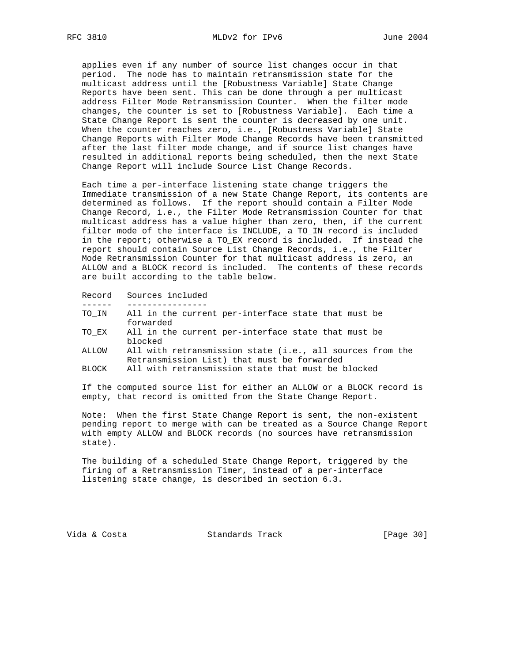applies even if any number of source list changes occur in that period. The node has to maintain retransmission state for the multicast address until the [Robustness Variable] State Change Reports have been sent. This can be done through a per multicast address Filter Mode Retransmission Counter. When the filter mode changes, the counter is set to [Robustness Variable]. Each time a State Change Report is sent the counter is decreased by one unit. When the counter reaches zero, i.e., [Robustness Variable] State Change Reports with Filter Mode Change Records have been transmitted after the last filter mode change, and if source list changes have resulted in additional reports being scheduled, then the next State Change Report will include Source List Change Records.

 Each time a per-interface listening state change triggers the Immediate transmission of a new State Change Report, its contents are determined as follows. If the report should contain a Filter Mode Change Record, i.e., the Filter Mode Retransmission Counter for that multicast address has a value higher than zero, then, if the current filter mode of the interface is INCLUDE, a TO\_IN record is included in the report; otherwise a TO\_EX record is included. If instead the report should contain Source List Change Records, i.e., the Filter Mode Retransmission Counter for that multicast address is zero, an ALLOW and a BLOCK record is included. The contents of these records are built according to the table below.

|              | Record Sources included                                                                                  |
|--------------|----------------------------------------------------------------------------------------------------------|
|              |                                                                                                          |
| TO IN        | All in the current per-interface state that must be<br>forwarded                                         |
| TO EX        | All in the current per-interface state that must be<br>blocked                                           |
| ALLOW        | All with retransmission state (i.e., all sources from the<br>Retransmission List) that must be forwarded |
| <b>BLOCK</b> | All with retransmission state that must be blocked                                                       |
|              | If the computed source list for either an ALLOW or a BLOCK record is                                     |

empty, that record is omitted from the State Change Report.

 Note: When the first State Change Report is sent, the non-existent pending report to merge with can be treated as a Source Change Report with empty ALLOW and BLOCK records (no sources have retransmission

 The building of a scheduled State Change Report, triggered by the firing of a Retransmission Timer, instead of a per-interface listening state change, is described in section 6.3.

state).

Vida & Costa Standards Track [Page 30]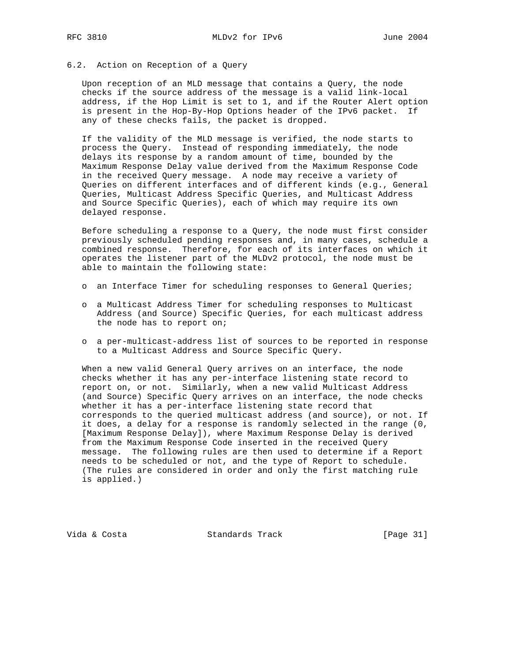## 6.2. Action on Reception of a Query

 Upon reception of an MLD message that contains a Query, the node checks if the source address of the message is a valid link-local address, if the Hop Limit is set to 1, and if the Router Alert option is present in the Hop-By-Hop Options header of the IPv6 packet. If any of these checks fails, the packet is dropped.

 If the validity of the MLD message is verified, the node starts to process the Query. Instead of responding immediately, the node delays its response by a random amount of time, bounded by the Maximum Response Delay value derived from the Maximum Response Code in the received Query message. A node may receive a variety of Queries on different interfaces and of different kinds (e.g., General Queries, Multicast Address Specific Queries, and Multicast Address and Source Specific Queries), each of which may require its own delayed response.

 Before scheduling a response to a Query, the node must first consider previously scheduled pending responses and, in many cases, schedule a combined response. Therefore, for each of its interfaces on which it operates the listener part of the MLDv2 protocol, the node must be able to maintain the following state:

- o an Interface Timer for scheduling responses to General Queries;
- o a Multicast Address Timer for scheduling responses to Multicast Address (and Source) Specific Queries, for each multicast address the node has to report on;
- o a per-multicast-address list of sources to be reported in response to a Multicast Address and Source Specific Query.

 When a new valid General Query arrives on an interface, the node checks whether it has any per-interface listening state record to report on, or not. Similarly, when a new valid Multicast Address (and Source) Specific Query arrives on an interface, the node checks whether it has a per-interface listening state record that corresponds to the queried multicast address (and source), or not. If it does, a delay for a response is randomly selected in the range (0, [Maximum Response Delay]), where Maximum Response Delay is derived from the Maximum Response Code inserted in the received Query message. The following rules are then used to determine if a Report needs to be scheduled or not, and the type of Report to schedule. (The rules are considered in order and only the first matching rule is applied.)

Vida & Costa Standards Track [Page 31]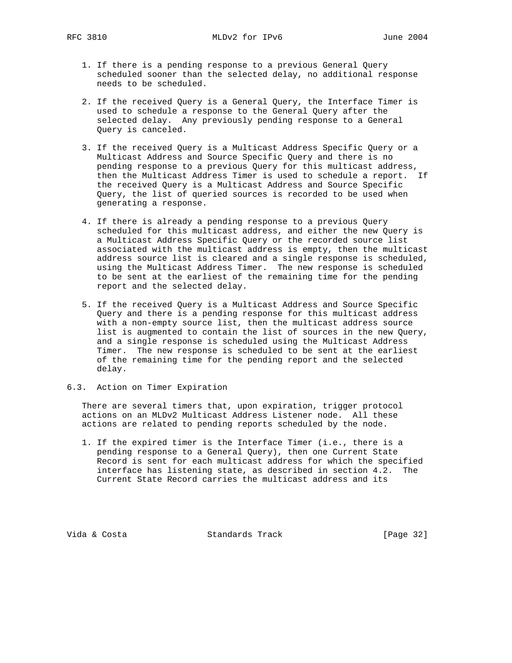- 1. If there is a pending response to a previous General Query scheduled sooner than the selected delay, no additional response needs to be scheduled.
- 2. If the received Query is a General Query, the Interface Timer is used to schedule a response to the General Query after the selected delay. Any previously pending response to a General Query is canceled.
- 3. If the received Query is a Multicast Address Specific Query or a Multicast Address and Source Specific Query and there is no pending response to a previous Query for this multicast address, then the Multicast Address Timer is used to schedule a report. If the received Query is a Multicast Address and Source Specific Query, the list of queried sources is recorded to be used when generating a response.
- 4. If there is already a pending response to a previous Query scheduled for this multicast address, and either the new Query is a Multicast Address Specific Query or the recorded source list associated with the multicast address is empty, then the multicast address source list is cleared and a single response is scheduled, using the Multicast Address Timer. The new response is scheduled to be sent at the earliest of the remaining time for the pending report and the selected delay.
- 5. If the received Query is a Multicast Address and Source Specific Query and there is a pending response for this multicast address with a non-empty source list, then the multicast address source list is augmented to contain the list of sources in the new Query, and a single response is scheduled using the Multicast Address Timer. The new response is scheduled to be sent at the earliest of the remaining time for the pending report and the selected delay.
- 6.3. Action on Timer Expiration

 There are several timers that, upon expiration, trigger protocol actions on an MLDv2 Multicast Address Listener node. All these actions are related to pending reports scheduled by the node.

 1. If the expired timer is the Interface Timer (i.e., there is a pending response to a General Query), then one Current State Record is sent for each multicast address for which the specified interface has listening state, as described in section 4.2. The Current State Record carries the multicast address and its

Vida & Costa Standards Track [Page 32]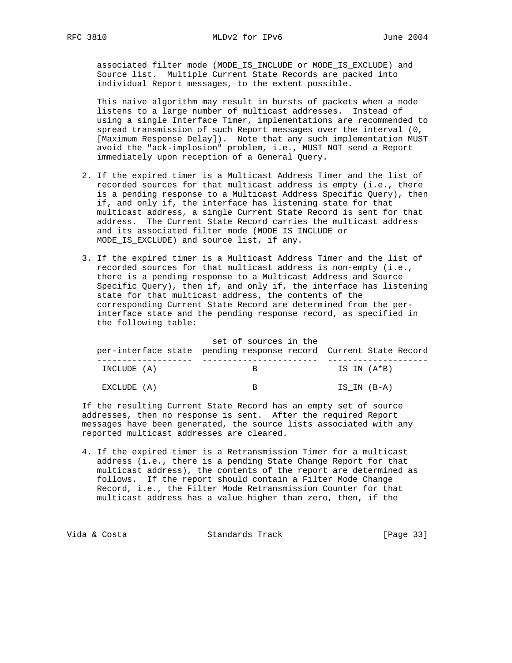associated filter mode (MODE\_IS\_INCLUDE or MODE\_IS\_EXCLUDE) and Source list. Multiple Current State Records are packed into individual Report messages, to the extent possible.

 This naive algorithm may result in bursts of packets when a node listens to a large number of multicast addresses. Instead of using a single Interface Timer, implementations are recommended to spread transmission of such Report messages over the interval (0, [Maximum Response Delay]). Note that any such implementation MUST avoid the "ack-implosion" problem, i.e., MUST NOT send a Report immediately upon reception of a General Query.

- 2. If the expired timer is a Multicast Address Timer and the list of recorded sources for that multicast address is empty (i.e., there is a pending response to a Multicast Address Specific Query), then if, and only if, the interface has listening state for that multicast address, a single Current State Record is sent for that address. The Current State Record carries the multicast address and its associated filter mode (MODE\_IS\_INCLUDE or MODE\_IS\_EXCLUDE) and source list, if any.
- 3. If the expired timer is a Multicast Address Timer and the list of recorded sources for that multicast address is non-empty (i.e., there is a pending response to a Multicast Address and Source Specific Query), then if, and only if, the interface has listening state for that multicast address, the contents of the corresponding Current State Record are determined from the per interface state and the pending response record, as specified in the following table:

|             | set of sources in the<br>per-interface state pending response record Current State Record |             |
|-------------|-------------------------------------------------------------------------------------------|-------------|
| INCLUDE (A) | B                                                                                         | IS IN (A*B) |
| EXCLUDE (A) |                                                                                           | IS IN (B-A) |

 If the resulting Current State Record has an empty set of source addresses, then no response is sent. After the required Report messages have been generated, the source lists associated with any reported multicast addresses are cleared.

 4. If the expired timer is a Retransmission Timer for a multicast address (i.e., there is a pending State Change Report for that multicast address), the contents of the report are determined as follows. If the report should contain a Filter Mode Change Record, i.e., the Filter Mode Retransmission Counter for that multicast address has a value higher than zero, then, if the

Vida & Costa Standards Track [Page 33]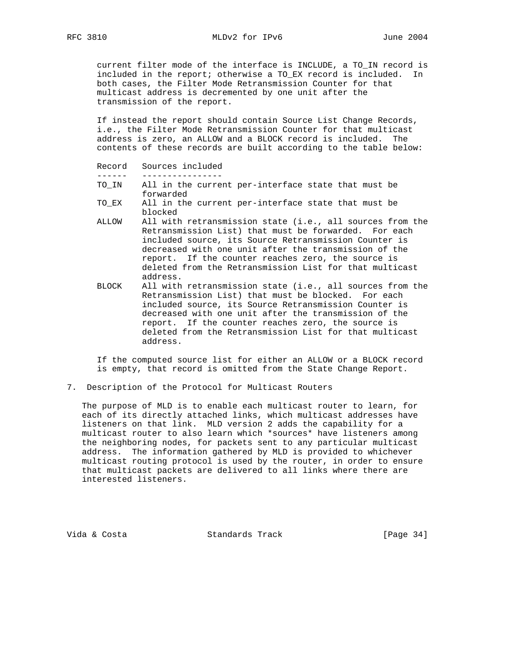current filter mode of the interface is INCLUDE, a TO\_IN record is included in the report; otherwise a TO\_EX record is included. In both cases, the Filter Mode Retransmission Counter for that multicast address is decremented by one unit after the transmission of the report.

 If instead the report should contain Source List Change Records, i.e., the Filter Mode Retransmission Counter for that multicast address is zero, an ALLOW and a BLOCK record is included. The contents of these records are built according to the table below:

Record Sources included

------ ----------------

- TO\_IN All in the current per-interface state that must be forwarded
- TO\_EX All in the current per-interface state that must be blocked
- ALLOW All with retransmission state (i.e., all sources from the Retransmission List) that must be forwarded. For each included source, its Source Retransmission Counter is decreased with one unit after the transmission of the report. If the counter reaches zero, the source is deleted from the Retransmission List for that multicast address.
- BLOCK All with retransmission state (i.e., all sources from the Retransmission List) that must be blocked. For each included source, its Source Retransmission Counter is decreased with one unit after the transmission of the report. If the counter reaches zero, the source is deleted from the Retransmission List for that multicast address.

 If the computed source list for either an ALLOW or a BLOCK record is empty, that record is omitted from the State Change Report.

7. Description of the Protocol for Multicast Routers

 The purpose of MLD is to enable each multicast router to learn, for each of its directly attached links, which multicast addresses have listeners on that link. MLD version 2 adds the capability for a multicast router to also learn which \*sources\* have listeners among the neighboring nodes, for packets sent to any particular multicast address. The information gathered by MLD is provided to whichever multicast routing protocol is used by the router, in order to ensure that multicast packets are delivered to all links where there are interested listeners.

Vida & Costa Standards Track [Page 34]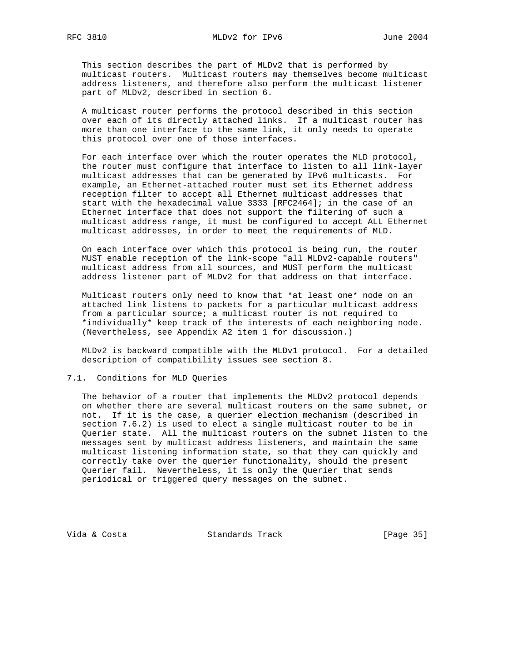This section describes the part of MLDv2 that is performed by multicast routers. Multicast routers may themselves become multicast address listeners, and therefore also perform the multicast listener part of MLDv2, described in section 6.

 A multicast router performs the protocol described in this section over each of its directly attached links. If a multicast router has more than one interface to the same link, it only needs to operate this protocol over one of those interfaces.

 For each interface over which the router operates the MLD protocol, the router must configure that interface to listen to all link-layer multicast addresses that can be generated by IPv6 multicasts. For example, an Ethernet-attached router must set its Ethernet address reception filter to accept all Ethernet multicast addresses that start with the hexadecimal value 3333 [RFC2464]; in the case of an Ethernet interface that does not support the filtering of such a multicast address range, it must be configured to accept ALL Ethernet multicast addresses, in order to meet the requirements of MLD.

 On each interface over which this protocol is being run, the router MUST enable reception of the link-scope "all MLDv2-capable routers" multicast address from all sources, and MUST perform the multicast address listener part of MLDv2 for that address on that interface.

 Multicast routers only need to know that \*at least one\* node on an attached link listens to packets for a particular multicast address from a particular source; a multicast router is not required to \*individually\* keep track of the interests of each neighboring node. (Nevertheless, see Appendix A2 item 1 for discussion.)

 MLDv2 is backward compatible with the MLDv1 protocol. For a detailed description of compatibility issues see section 8.

### 7.1. Conditions for MLD Queries

 The behavior of a router that implements the MLDv2 protocol depends on whether there are several multicast routers on the same subnet, or not. If it is the case, a querier election mechanism (described in section 7.6.2) is used to elect a single multicast router to be in Querier state. All the multicast routers on the subnet listen to the messages sent by multicast address listeners, and maintain the same multicast listening information state, so that they can quickly and correctly take over the querier functionality, should the present Querier fail. Nevertheless, it is only the Querier that sends periodical or triggered query messages on the subnet.

Vida & Costa Standards Track [Page 35]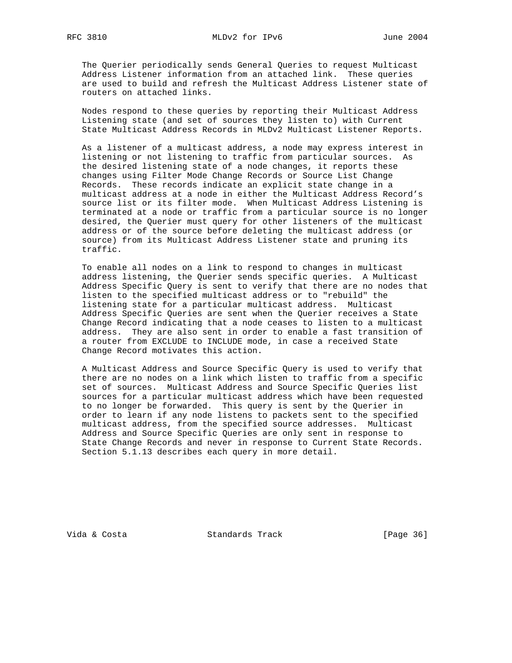The Querier periodically sends General Queries to request Multicast Address Listener information from an attached link. These queries are used to build and refresh the Multicast Address Listener state of routers on attached links.

 Nodes respond to these queries by reporting their Multicast Address Listening state (and set of sources they listen to) with Current State Multicast Address Records in MLDv2 Multicast Listener Reports.

 As a listener of a multicast address, a node may express interest in listening or not listening to traffic from particular sources. As the desired listening state of a node changes, it reports these changes using Filter Mode Change Records or Source List Change Records. These records indicate an explicit state change in a multicast address at a node in either the Multicast Address Record's source list or its filter mode. When Multicast Address Listening is terminated at a node or traffic from a particular source is no longer desired, the Querier must query for other listeners of the multicast address or of the source before deleting the multicast address (or source) from its Multicast Address Listener state and pruning its traffic.

 To enable all nodes on a link to respond to changes in multicast address listening, the Querier sends specific queries. A Multicast Address Specific Query is sent to verify that there are no nodes that listen to the specified multicast address or to "rebuild" the listening state for a particular multicast address. Multicast Address Specific Queries are sent when the Querier receives a State Change Record indicating that a node ceases to listen to a multicast address. They are also sent in order to enable a fast transition of a router from EXCLUDE to INCLUDE mode, in case a received State Change Record motivates this action.

 A Multicast Address and Source Specific Query is used to verify that there are no nodes on a link which listen to traffic from a specific set of sources. Multicast Address and Source Specific Queries list sources for a particular multicast address which have been requested to no longer be forwarded. This query is sent by the Querier in order to learn if any node listens to packets sent to the specified multicast address, from the specified source addresses. Multicast Address and Source Specific Queries are only sent in response to State Change Records and never in response to Current State Records. Section 5.1.13 describes each query in more detail.

Vida & Costa Standards Track [Page 36]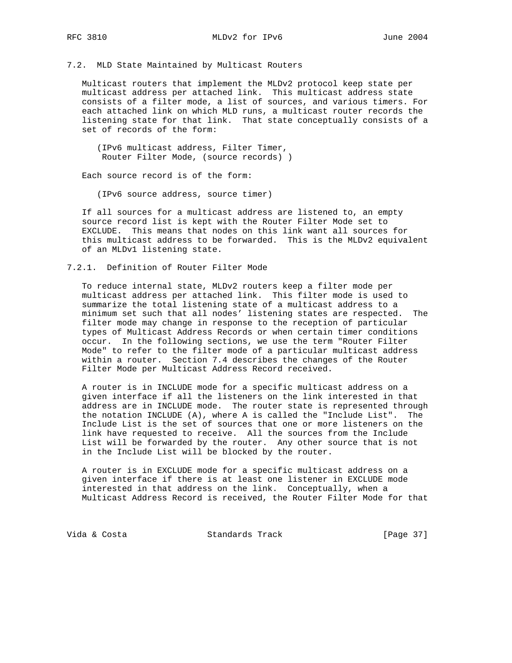7.2. MLD State Maintained by Multicast Routers

 Multicast routers that implement the MLDv2 protocol keep state per multicast address per attached link. This multicast address state consists of a filter mode, a list of sources, and various timers. For each attached link on which MLD runs, a multicast router records the listening state for that link. That state conceptually consists of a set of records of the form:

 (IPv6 multicast address, Filter Timer, Router Filter Mode, (source records) )

Each source record is of the form:

(IPv6 source address, source timer)

 If all sources for a multicast address are listened to, an empty source record list is kept with the Router Filter Mode set to EXCLUDE. This means that nodes on this link want all sources for this multicast address to be forwarded. This is the MLDv2 equivalent of an MLDv1 listening state.

7.2.1. Definition of Router Filter Mode

 To reduce internal state, MLDv2 routers keep a filter mode per multicast address per attached link. This filter mode is used to summarize the total listening state of a multicast address to a minimum set such that all nodes' listening states are respected. The filter mode may change in response to the reception of particular types of Multicast Address Records or when certain timer conditions occur. In the following sections, we use the term "Router Filter Mode" to refer to the filter mode of a particular multicast address within a router. Section 7.4 describes the changes of the Router Filter Mode per Multicast Address Record received.

 A router is in INCLUDE mode for a specific multicast address on a given interface if all the listeners on the link interested in that address are in INCLUDE mode. The router state is represented through the notation INCLUDE (A), where A is called the "Include List". The Include List is the set of sources that one or more listeners on the link have requested to receive. All the sources from the Include List will be forwarded by the router. Any other source that is not in the Include List will be blocked by the router.

 A router is in EXCLUDE mode for a specific multicast address on a given interface if there is at least one listener in EXCLUDE mode interested in that address on the link. Conceptually, when a Multicast Address Record is received, the Router Filter Mode for that

Vida & Costa Standards Track [Page 37]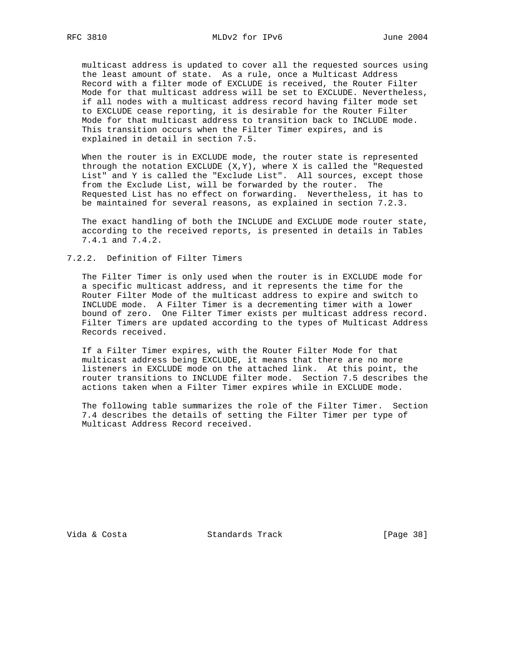multicast address is updated to cover all the requested sources using the least amount of state. As a rule, once a Multicast Address Record with a filter mode of EXCLUDE is received, the Router Filter Mode for that multicast address will be set to EXCLUDE. Nevertheless, if all nodes with a multicast address record having filter mode set to EXCLUDE cease reporting, it is desirable for the Router Filter Mode for that multicast address to transition back to INCLUDE mode. This transition occurs when the Filter Timer expires, and is explained in detail in section 7.5.

 When the router is in EXCLUDE mode, the router state is represented through the notation EXCLUDE  $(X, Y)$ , where X is called the "Requested List" and Y is called the "Exclude List". All sources, except those from the Exclude List, will be forwarded by the router. The Requested List has no effect on forwarding. Nevertheless, it has to be maintained for several reasons, as explained in section 7.2.3.

 The exact handling of both the INCLUDE and EXCLUDE mode router state, according to the received reports, is presented in details in Tables 7.4.1 and 7.4.2.

7.2.2. Definition of Filter Timers

 The Filter Timer is only used when the router is in EXCLUDE mode for a specific multicast address, and it represents the time for the Router Filter Mode of the multicast address to expire and switch to INCLUDE mode. A Filter Timer is a decrementing timer with a lower bound of zero. One Filter Timer exists per multicast address record. Filter Timers are updated according to the types of Multicast Address Records received.

 If a Filter Timer expires, with the Router Filter Mode for that multicast address being EXCLUDE, it means that there are no more listeners in EXCLUDE mode on the attached link. At this point, the router transitions to INCLUDE filter mode. Section 7.5 describes the actions taken when a Filter Timer expires while in EXCLUDE mode.

 The following table summarizes the role of the Filter Timer. Section 7.4 describes the details of setting the Filter Timer per type of Multicast Address Record received.

Vida & Costa Standards Track [Page 38]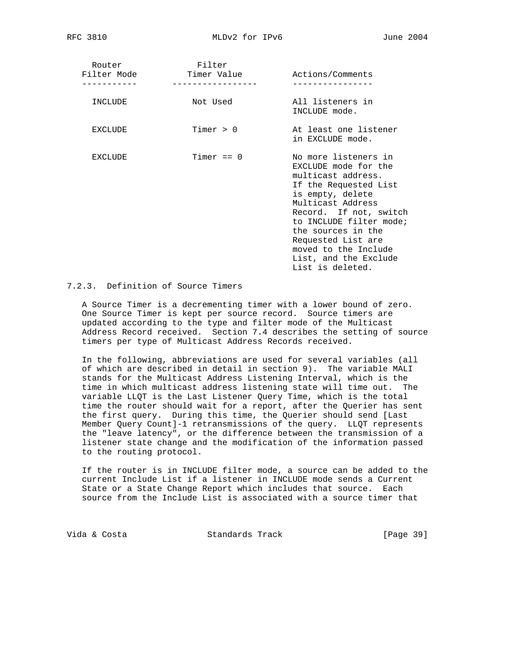| Router<br>Filter Mode | Filter<br>Timer Value | Actions/Comments                                                                                                                                                                                                                                                                                           |
|-----------------------|-----------------------|------------------------------------------------------------------------------------------------------------------------------------------------------------------------------------------------------------------------------------------------------------------------------------------------------------|
| INCLUDE               | Not Used              | All listeners in<br>INCLUDE mode.                                                                                                                                                                                                                                                                          |
| <b>EXCLUDE</b>        | Timer $> 0$           | At least one listener<br>in EXCLUDE mode.                                                                                                                                                                                                                                                                  |
| EXCLUDE               | Timer $== 0$          | No more listeners in<br>EXCLUDE mode for the<br>multicast address.<br>If the Requested List<br>is empty, delete<br>Multicast Address<br>Record. If not, switch<br>to INCLUDE filter mode;<br>the sources in the<br>Requested List are<br>moved to the Include<br>List, and the Exclude<br>List is deleted. |

## 7.2.3. Definition of Source Timers

 A Source Timer is a decrementing timer with a lower bound of zero. One Source Timer is kept per source record. Source timers are updated according to the type and filter mode of the Multicast Address Record received. Section 7.4 describes the setting of source timers per type of Multicast Address Records received.

 In the following, abbreviations are used for several variables (all of which are described in detail in section 9). The variable MALI stands for the Multicast Address Listening Interval, which is the time in which multicast address listening state will time out. The variable LLQT is the Last Listener Query Time, which is the total time the router should wait for a report, after the Querier has sent the first query. During this time, the Querier should send [Last Member Query Count]-1 retransmissions of the query. LLQT represents the "leave latency", or the difference between the transmission of a listener state change and the modification of the information passed to the routing protocol.

 If the router is in INCLUDE filter mode, a source can be added to the current Include List if a listener in INCLUDE mode sends a Current State or a State Change Report which includes that source. Each source from the Include List is associated with a source timer that

Vida & Costa Standards Track [Page 39]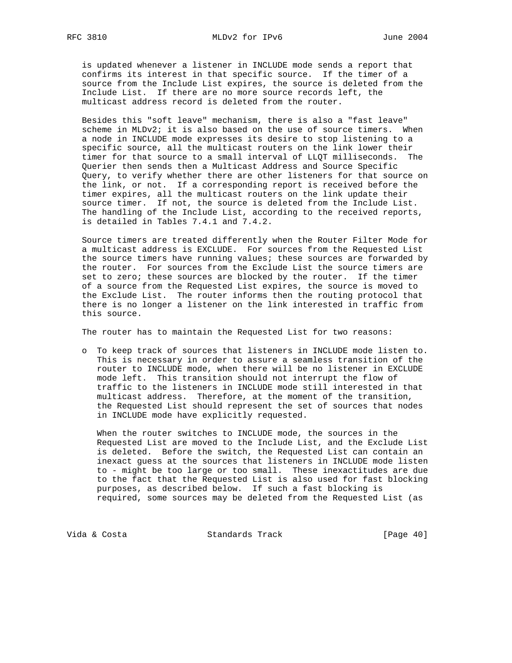is updated whenever a listener in INCLUDE mode sends a report that confirms its interest in that specific source. If the timer of a source from the Include List expires, the source is deleted from the Include List. If there are no more source records left, the multicast address record is deleted from the router.

 Besides this "soft leave" mechanism, there is also a "fast leave" scheme in MLDv2; it is also based on the use of source timers. When a node in INCLUDE mode expresses its desire to stop listening to a specific source, all the multicast routers on the link lower their timer for that source to a small interval of LLQT milliseconds. The Querier then sends then a Multicast Address and Source Specific Query, to verify whether there are other listeners for that source on the link, or not. If a corresponding report is received before the timer expires, all the multicast routers on the link update their source timer. If not, the source is deleted from the Include List. The handling of the Include List, according to the received reports, is detailed in Tables 7.4.1 and 7.4.2.

 Source timers are treated differently when the Router Filter Mode for a multicast address is EXCLUDE. For sources from the Requested List the source timers have running values; these sources are forwarded by the router. For sources from the Exclude List the source timers are set to zero; these sources are blocked by the router. If the timer of a source from the Requested List expires, the source is moved to the Exclude List. The router informs then the routing protocol that there is no longer a listener on the link interested in traffic from this source.

The router has to maintain the Requested List for two reasons:

 o To keep track of sources that listeners in INCLUDE mode listen to. This is necessary in order to assure a seamless transition of the router to INCLUDE mode, when there will be no listener in EXCLUDE mode left. This transition should not interrupt the flow of traffic to the listeners in INCLUDE mode still interested in that multicast address. Therefore, at the moment of the transition, the Requested List should represent the set of sources that nodes in INCLUDE mode have explicitly requested.

 When the router switches to INCLUDE mode, the sources in the Requested List are moved to the Include List, and the Exclude List is deleted. Before the switch, the Requested List can contain an inexact guess at the sources that listeners in INCLUDE mode listen to - might be too large or too small. These inexactitudes are due to the fact that the Requested List is also used for fast blocking purposes, as described below. If such a fast blocking is required, some sources may be deleted from the Requested List (as

Vida & Costa Standards Track [Page 40]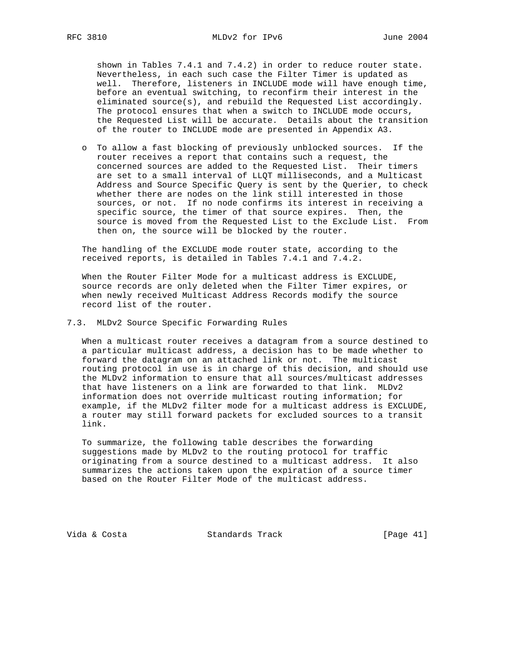shown in Tables 7.4.1 and 7.4.2) in order to reduce router state. Nevertheless, in each such case the Filter Timer is updated as well. Therefore, listeners in INCLUDE mode will have enough time, before an eventual switching, to reconfirm their interest in the eliminated source(s), and rebuild the Requested List accordingly. The protocol ensures that when a switch to INCLUDE mode occurs, the Requested List will be accurate. Details about the transition of the router to INCLUDE mode are presented in Appendix A3.

 o To allow a fast blocking of previously unblocked sources. If the router receives a report that contains such a request, the concerned sources are added to the Requested List. Their timers are set to a small interval of LLQT milliseconds, and a Multicast Address and Source Specific Query is sent by the Querier, to check whether there are nodes on the link still interested in those sources, or not. If no node confirms its interest in receiving a specific source, the timer of that source expires. Then, the source is moved from the Requested List to the Exclude List. From then on, the source will be blocked by the router.

 The handling of the EXCLUDE mode router state, according to the received reports, is detailed in Tables 7.4.1 and 7.4.2.

 When the Router Filter Mode for a multicast address is EXCLUDE, source records are only deleted when the Filter Timer expires, or when newly received Multicast Address Records modify the source record list of the router.

7.3. MLDv2 Source Specific Forwarding Rules

 When a multicast router receives a datagram from a source destined to a particular multicast address, a decision has to be made whether to forward the datagram on an attached link or not. The multicast routing protocol in use is in charge of this decision, and should use the MLDv2 information to ensure that all sources/multicast addresses that have listeners on a link are forwarded to that link. MLDv2 information does not override multicast routing information; for example, if the MLDv2 filter mode for a multicast address is EXCLUDE, a router may still forward packets for excluded sources to a transit link.

 To summarize, the following table describes the forwarding suggestions made by MLDv2 to the routing protocol for traffic originating from a source destined to a multicast address. It also summarizes the actions taken upon the expiration of a source timer based on the Router Filter Mode of the multicast address.

Vida & Costa Standards Track [Page 41]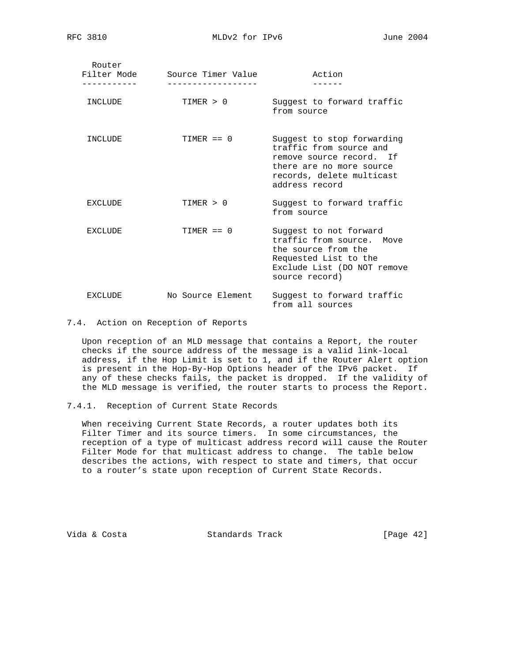| Router<br>Filter Mode | Source Timer Value | Action                                                                                                                                                       |
|-----------------------|--------------------|--------------------------------------------------------------------------------------------------------------------------------------------------------------|
| INCLUDE               | TIMER > 0          | Suggest to forward traffic<br>from source                                                                                                                    |
| INCLUDE               | $TIMER == 0$       | Suggest to stop forwarding<br>traffic from source and<br>remove source record. If<br>there are no more source<br>records, delete multicast<br>address record |
| EXCLUDE               | TIMER > 0          | Suggest to forward traffic<br>from source                                                                                                                    |
| EXCLUDE               | $TIMER == 0$       | Suggest to not forward<br>traffic from source. Move<br>the source from the<br>Requested List to the<br>Exclude List (DO NOT remove<br>source record)         |
| EXCLUDE               | No Source Element  | Suggest to forward traffic                                                                                                                                   |

#### 7.4. Action on Reception of Reports

from all sources

 Upon reception of an MLD message that contains a Report, the router checks if the source address of the message is a valid link-local address, if the Hop Limit is set to 1, and if the Router Alert option is present in the Hop-By-Hop Options header of the IPv6 packet. If any of these checks fails, the packet is dropped. If the validity of the MLD message is verified, the router starts to process the Report.

## 7.4.1. Reception of Current State Records

 When receiving Current State Records, a router updates both its Filter Timer and its source timers. In some circumstances, the reception of a type of multicast address record will cause the Router Filter Mode for that multicast address to change. The table below describes the actions, with respect to state and timers, that occur to a router's state upon reception of Current State Records.

Vida & Costa Standards Track [Page 42]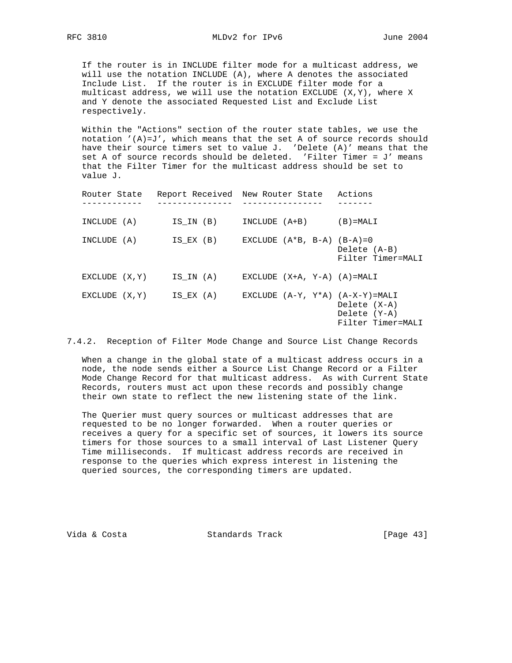If the router is in INCLUDE filter mode for a multicast address, we will use the notation INCLUDE (A), where A denotes the associated Include List. If the router is in EXCLUDE filter mode for a multicast address, we will use the notation EXCLUDE (X,Y), where X and Y denote the associated Requested List and Exclude List respectively.

 Within the "Actions" section of the router state tables, we use the notation  $'(A)=J'$ , which means that the set A of source records should have their source timers set to value J. 'Delete (A)' means that the set A of source records should be deleted. 'Filter Timer = J' means that the Filter Timer for the multicast address should be set to value J.

| Router State  |           | Report Received New Router State     | Actions                                             |
|---------------|-----------|--------------------------------------|-----------------------------------------------------|
| INCLUDE (A)   | IS IN (B) | INCLUDE (A+B)                        | $(B) = MALI$                                        |
| INCLUDE (A)   | IS EX (B) | EXCLUDE $(A*B, B-A) (B-A)=0$         | Delete (A-B)<br>Filter Timer=MALI                   |
| EXCLUDE (X.Y) | IS IN (A) | EXCLUDE $(X+A, Y-A) (A) = MALI$      |                                                     |
| EXCLUDE (X,Y) | IS EX (A) | EXCLUDE $(A-Y, Y^*A) (A-X-Y) = MALI$ | Delete $(X-A)$<br>Delete (Y-A)<br>Filter Timer=MALI |

7.4.2. Reception of Filter Mode Change and Source List Change Records

 When a change in the global state of a multicast address occurs in a node, the node sends either a Source List Change Record or a Filter Mode Change Record for that multicast address. As with Current State Records, routers must act upon these records and possibly change their own state to reflect the new listening state of the link.

 The Querier must query sources or multicast addresses that are requested to be no longer forwarded. When a router queries or receives a query for a specific set of sources, it lowers its source timers for those sources to a small interval of Last Listener Query Time milliseconds. If multicast address records are received in response to the queries which express interest in listening the queried sources, the corresponding timers are updated.

Vida & Costa Standards Track [Page 43]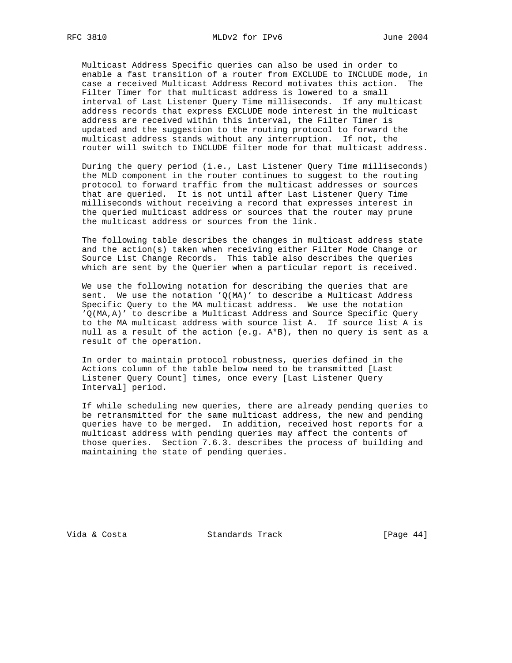Multicast Address Specific queries can also be used in order to enable a fast transition of a router from EXCLUDE to INCLUDE mode, in case a received Multicast Address Record motivates this action. The Filter Timer for that multicast address is lowered to a small interval of Last Listener Query Time milliseconds. If any multicast address records that express EXCLUDE mode interest in the multicast address are received within this interval, the Filter Timer is updated and the suggestion to the routing protocol to forward the multicast address stands without any interruption. If not, the router will switch to INCLUDE filter mode for that multicast address.

 During the query period (i.e., Last Listener Query Time milliseconds) the MLD component in the router continues to suggest to the routing protocol to forward traffic from the multicast addresses or sources that are queried. It is not until after Last Listener Query Time milliseconds without receiving a record that expresses interest in the queried multicast address or sources that the router may prune the multicast address or sources from the link.

 The following table describes the changes in multicast address state and the action(s) taken when receiving either Filter Mode Change or Source List Change Records. This table also describes the queries which are sent by the Querier when a particular report is received.

 We use the following notation for describing the queries that are sent. We use the notation 'Q(MA)' to describe a Multicast Address Specific Query to the MA multicast address. We use the notation 'Q(MA,A)' to describe a Multicast Address and Source Specific Query to the MA multicast address with source list A. If source list A is null as a result of the action (e.g. A\*B), then no query is sent as a result of the operation.

 In order to maintain protocol robustness, queries defined in the Actions column of the table below need to be transmitted [Last Listener Query Count] times, once every [Last Listener Query Interval] period.

 If while scheduling new queries, there are already pending queries to be retransmitted for the same multicast address, the new and pending queries have to be merged. In addition, received host reports for a multicast address with pending queries may affect the contents of those queries. Section 7.6.3. describes the process of building and maintaining the state of pending queries.

Vida & Costa Standards Track [Page 44]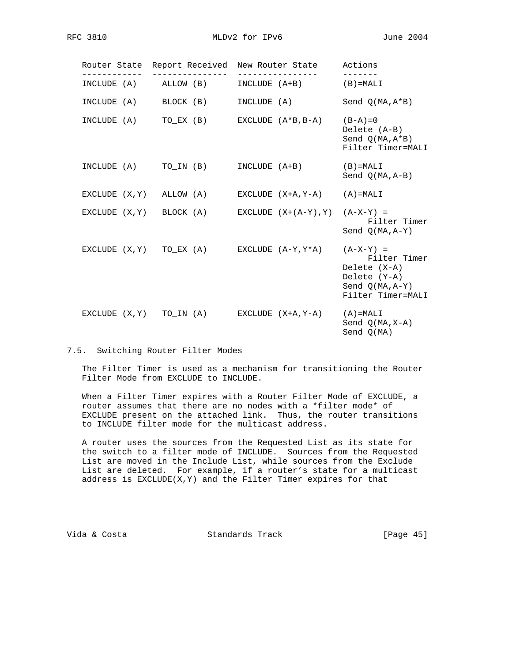|  |  |                                   | Router State Report Received New Router State Actions         | $- - - - - - - -$                                                                                                                                        |
|--|--|-----------------------------------|---------------------------------------------------------------|----------------------------------------------------------------------------------------------------------------------------------------------------------|
|  |  |                                   | $INCLUDE (A) ALLOW (B) INCLUDE (A+B) (B) = MALI$              |                                                                                                                                                          |
|  |  | INCLUDE (A) BLOCK (B) INCLUDE (A) |                                                               | Send $O(MA, A*B)$                                                                                                                                        |
|  |  |                                   | INCLUDE (A) $TO\_EX (B)$ EXCLUDE $(A*B, B-A)$ $(B-A)=0$       | Delete (A-B)<br>Send $O(MA, A*B)$<br>Filter Timer=MALI                                                                                                   |
|  |  |                                   | INCLUDE (A) TO_IN (B) INCLUDE (A+B)                           | (B)=MALI<br>Send $Q(MA, A-B)$                                                                                                                            |
|  |  |                                   | EXCLUDE $(X,Y)$ ALLOW $(A)$ EXCLUDE $(X+A, Y-A)$ $(A)$ =MALI  |                                                                                                                                                          |
|  |  |                                   | EXCLUDE $(X,Y)$ BLOCK $(A)$ EXCLUDE $(X+(A-Y),Y)$ $(A-X-Y) =$ | Filter Timer<br>Send $Q(MA, A-Y)$                                                                                                                        |
|  |  |                                   |                                                               | EXCLUDE $(X, Y)$ TO EX $(A)$ EXCLUDE $(A-Y, Y^*A)$ $(A-X-Y)$ =<br>Filter Timer<br>Delete (X-A)<br>Delete (Y-A)<br>Send $O(MA, A-Y)$<br>Filter Timer=MALI |
|  |  |                                   | EXCLUDE $(X,Y)$ TO_IN $(A)$ EXCLUDE $(X+A, Y-A)$ $(A)=MALI$   | Send $O(MA, X-A)$<br>Send O(MA)                                                                                                                          |

### 7.5. Switching Router Filter Modes

 The Filter Timer is used as a mechanism for transitioning the Router Filter Mode from EXCLUDE to INCLUDE.

 When a Filter Timer expires with a Router Filter Mode of EXCLUDE, a router assumes that there are no nodes with a \*filter mode\* of EXCLUDE present on the attached link. Thus, the router transitions to INCLUDE filter mode for the multicast address.

 A router uses the sources from the Requested List as its state for the switch to a filter mode of INCLUDE. Sources from the Requested List are moved in the Include List, while sources from the Exclude List are deleted. For example, if a router's state for a multicast address is  $EXCLUDE(X, Y)$  and the Filter Timer expires for that

Vida & Costa Standards Track [Page 45]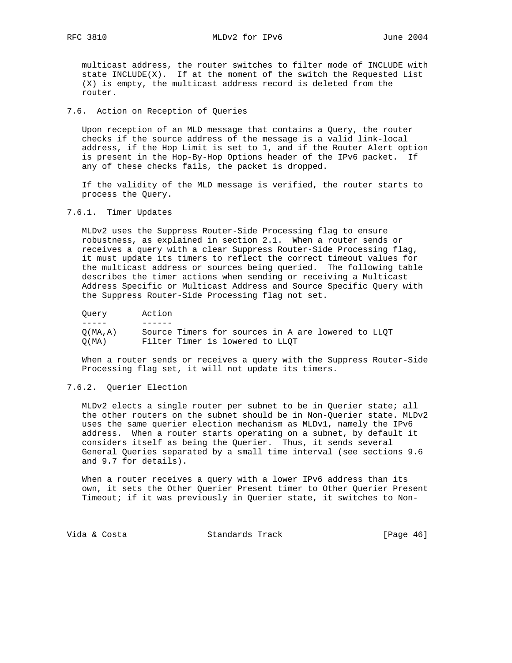multicast address, the router switches to filter mode of INCLUDE with state  $INCUUE(X)$ . If at the moment of the switch the Requested List (X) is empty, the multicast address record is deleted from the router.

7.6. Action on Reception of Queries

 Upon reception of an MLD message that contains a Query, the router checks if the source address of the message is a valid link-local address, if the Hop Limit is set to 1, and if the Router Alert option is present in the Hop-By-Hop Options header of the IPv6 packet. If any of these checks fails, the packet is dropped.

 If the validity of the MLD message is verified, the router starts to process the Query.

7.6.1. Timer Updates

 MLDv2 uses the Suppress Router-Side Processing flag to ensure robustness, as explained in section 2.1. When a router sends or receives a query with a clear Suppress Router-Side Processing flag, it must update its timers to reflect the correct timeout values for the multicast address or sources being queried. The following table describes the timer actions when sending or receiving a Multicast Address Specific or Multicast Address and Source Specific Query with the Suppress Router-Side Processing flag not set.

| Ouerv    | Action                                             |
|----------|----------------------------------------------------|
|          |                                                    |
| O(MA, A) | Source Timers for sources in A are lowered to LLOT |
| O(MA)    | Filter Timer is lowered to LLOT                    |

 When a router sends or receives a query with the Suppress Router-Side Processing flag set, it will not update its timers.

#### 7.6.2. Querier Election

 MLDv2 elects a single router per subnet to be in Querier state; all the other routers on the subnet should be in Non-Querier state. MLDv2 uses the same querier election mechanism as MLDv1, namely the IPv6 address. When a router starts operating on a subnet, by default it considers itself as being the Querier. Thus, it sends several General Queries separated by a small time interval (see sections 9.6 and 9.7 for details).

When a router receives a query with a lower IPv6 address than its own, it sets the Other Querier Present timer to Other Querier Present Timeout; if it was previously in Querier state, it switches to Non-

Vida & Costa Standards Track [Page 46]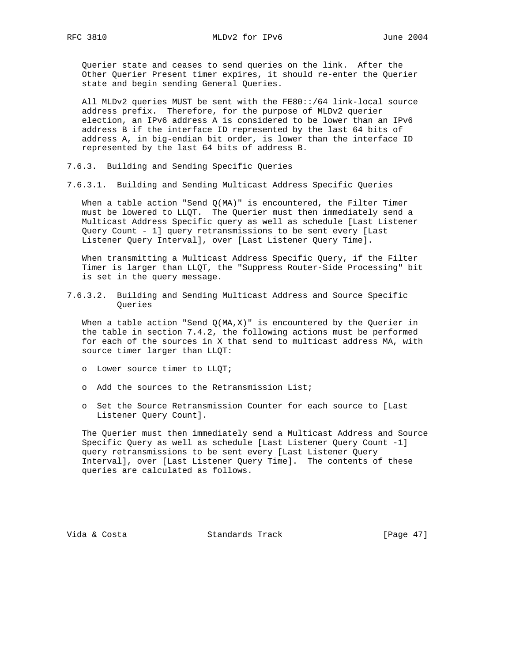Querier state and ceases to send queries on the link. After the Other Querier Present timer expires, it should re-enter the Querier state and begin sending General Queries.

 All MLDv2 queries MUST be sent with the FE80::/64 link-local source address prefix. Therefore, for the purpose of MLDv2 querier election, an IPv6 address A is considered to be lower than an IPv6 address B if the interface ID represented by the last 64 bits of address A, in big-endian bit order, is lower than the interface ID represented by the last 64 bits of address B.

- 7.6.3. Building and Sending Specific Queries
- 7.6.3.1. Building and Sending Multicast Address Specific Queries

When a table action "Send  $Q(MA)$ " is encountered, the Filter Timer must be lowered to LLQT. The Querier must then immediately send a Multicast Address Specific query as well as schedule [Last Listener Query Count - 1] query retransmissions to be sent every [Last Listener Query Interval], over [Last Listener Query Time].

 When transmitting a Multicast Address Specific Query, if the Filter Timer is larger than LLQT, the "Suppress Router-Side Processing" bit is set in the query message.

7.6.3.2. Building and Sending Multicast Address and Source Specific Queries

When a table action "Send  $Q(MA, X)$ " is encountered by the Querier in the table in section 7.4.2, the following actions must be performed for each of the sources in X that send to multicast address MA, with source timer larger than LLQT:

- o Lower source timer to LLQT;
- o Add the sources to the Retransmission List;
- o Set the Source Retransmission Counter for each source to [Last Listener Query Count].

 The Querier must then immediately send a Multicast Address and Source Specific Query as well as schedule [Last Listener Query Count -1] query retransmissions to be sent every [Last Listener Query Interval], over [Last Listener Query Time]. The contents of these queries are calculated as follows.

Vida & Costa Standards Track [Page 47]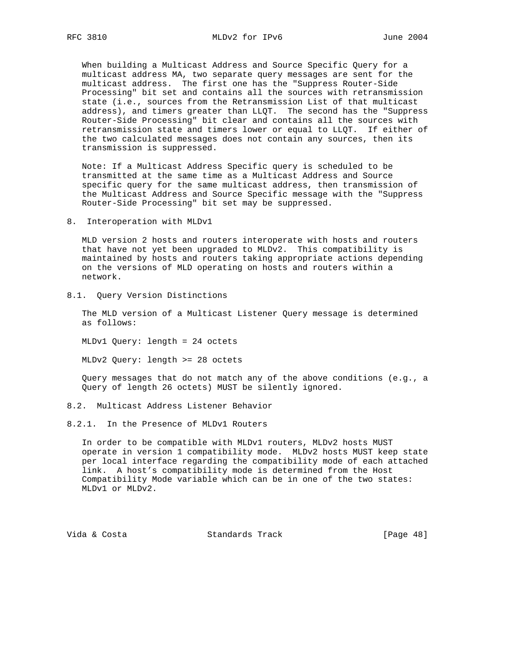When building a Multicast Address and Source Specific Query for a multicast address MA, two separate query messages are sent for the multicast address. The first one has the "Suppress Router-Side Processing" bit set and contains all the sources with retransmission state (i.e., sources from the Retransmission List of that multicast address), and timers greater than LLQT. The second has the "Suppress Router-Side Processing" bit clear and contains all the sources with retransmission state and timers lower or equal to LLQT. If either of the two calculated messages does not contain any sources, then its transmission is suppressed.

 Note: If a Multicast Address Specific query is scheduled to be transmitted at the same time as a Multicast Address and Source specific query for the same multicast address, then transmission of the Multicast Address and Source Specific message with the "Suppress Router-Side Processing" bit set may be suppressed.

8. Interoperation with MLDv1

 MLD version 2 hosts and routers interoperate with hosts and routers that have not yet been upgraded to MLDv2. This compatibility is maintained by hosts and routers taking appropriate actions depending on the versions of MLD operating on hosts and routers within a network.

8.1. Query Version Distinctions

 The MLD version of a Multicast Listener Query message is determined as follows:

MLDv1 Query: length = 24 octets

MLDv2 Query: length >= 28 octets

 Query messages that do not match any of the above conditions (e.g., a Query of length 26 octets) MUST be silently ignored.

#### 8.2. Multicast Address Listener Behavior

#### 8.2.1. In the Presence of MLDv1 Routers

 In order to be compatible with MLDv1 routers, MLDv2 hosts MUST operate in version 1 compatibility mode. MLDv2 hosts MUST keep state per local interface regarding the compatibility mode of each attached link. A host's compatibility mode is determined from the Host Compatibility Mode variable which can be in one of the two states: MLDv1 or MLDv2.

Vida & Costa Standards Track [Page 48]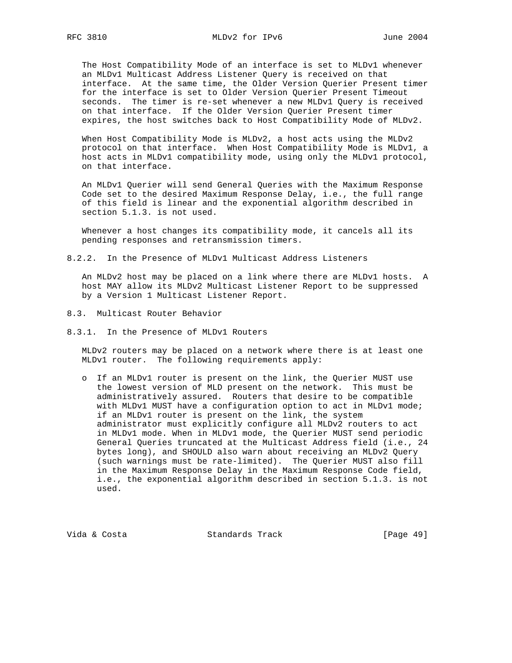The Host Compatibility Mode of an interface is set to MLDv1 whenever an MLDv1 Multicast Address Listener Query is received on that interface. At the same time, the Older Version Querier Present timer for the interface is set to Older Version Querier Present Timeout seconds. The timer is re-set whenever a new MLDv1 Query is received on that interface. If the Older Version Querier Present timer expires, the host switches back to Host Compatibility Mode of MLDv2.

 When Host Compatibility Mode is MLDv2, a host acts using the MLDv2 protocol on that interface. When Host Compatibility Mode is MLDv1, a host acts in MLDv1 compatibility mode, using only the MLDv1 protocol, on that interface.

 An MLDv1 Querier will send General Queries with the Maximum Response Code set to the desired Maximum Response Delay, i.e., the full range of this field is linear and the exponential algorithm described in section 5.1.3. is not used.

 Whenever a host changes its compatibility mode, it cancels all its pending responses and retransmission timers.

8.2.2. In the Presence of MLDv1 Multicast Address Listeners

 An MLDv2 host may be placed on a link where there are MLDv1 hosts. A host MAY allow its MLDv2 Multicast Listener Report to be suppressed by a Version 1 Multicast Listener Report.

- 8.3. Multicast Router Behavior
- 8.3.1. In the Presence of MLDv1 Routers

 MLDv2 routers may be placed on a network where there is at least one MLDv1 router. The following requirements apply:

 o If an MLDv1 router is present on the link, the Querier MUST use the lowest version of MLD present on the network. This must be administratively assured. Routers that desire to be compatible with MLDv1 MUST have a configuration option to act in MLDv1 mode; if an MLDv1 router is present on the link, the system administrator must explicitly configure all MLDv2 routers to act in MLDv1 mode. When in MLDv1 mode, the Querier MUST send periodic General Queries truncated at the Multicast Address field (i.e., 24 bytes long), and SHOULD also warn about receiving an MLDv2 Query (such warnings must be rate-limited). The Querier MUST also fill in the Maximum Response Delay in the Maximum Response Code field, i.e., the exponential algorithm described in section 5.1.3. is not used.

Vida & Costa Standards Track [Page 49]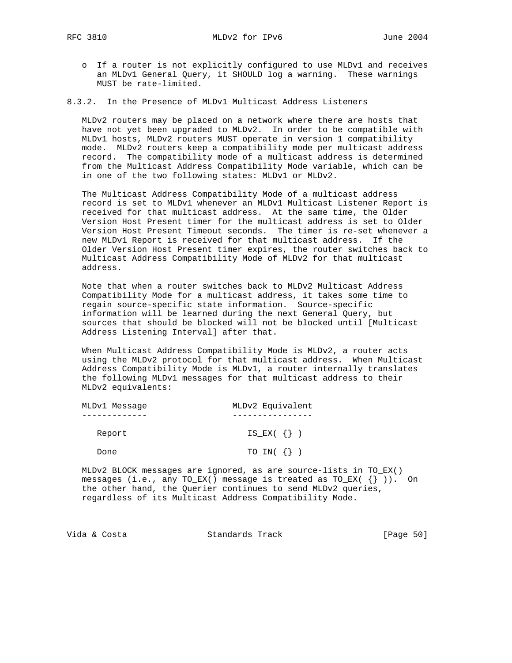- o If a router is not explicitly configured to use MLDv1 and receives an MLDv1 General Query, it SHOULD log a warning. These warnings MUST be rate-limited.
- 8.3.2. In the Presence of MLDv1 Multicast Address Listeners

 MLDv2 routers may be placed on a network where there are hosts that have not yet been upgraded to MLDv2. In order to be compatible with MLDv1 hosts, MLDv2 routers MUST operate in version 1 compatibility mode. MLDv2 routers keep a compatibility mode per multicast address record. The compatibility mode of a multicast address is determined from the Multicast Address Compatibility Mode variable, which can be in one of the two following states: MLDv1 or MLDv2.

 The Multicast Address Compatibility Mode of a multicast address record is set to MLDv1 whenever an MLDv1 Multicast Listener Report is received for that multicast address. At the same time, the Older Version Host Present timer for the multicast address is set to Older Version Host Present Timeout seconds. The timer is re-set whenever a new MLDv1 Report is received for that multicast address. If the Older Version Host Present timer expires, the router switches back to Multicast Address Compatibility Mode of MLDv2 for that multicast address.

 Note that when a router switches back to MLDv2 Multicast Address Compatibility Mode for a multicast address, it takes some time to regain source-specific state information. Source-specific information will be learned during the next General Query, but sources that should be blocked will not be blocked until [Multicast Address Listening Interval] after that.

 When Multicast Address Compatibility Mode is MLDv2, a router acts using the MLDv2 protocol for that multicast address. When Multicast Address Compatibility Mode is MLDv1, a router internally translates the following MLDv1 messages for that multicast address to their MLDv2 equivalents:

| MLDv1 Message | MLDv2 Equivalent     |
|---------------|----------------------|
|               |                      |
| Report        | $IS$ $EX$ ( $\{\}$ ) |
| Done          | $TO_IN($ {} $)$      |

 MLDv2 BLOCK messages are ignored, as are source-lists in TO\_EX() messages (i.e., any TO\_EX() message is treated as TO\_EX( {} )). On the other hand, the Querier continues to send MLDv2 queries, regardless of its Multicast Address Compatibility Mode.

Vida & Costa Standards Track [Page 50]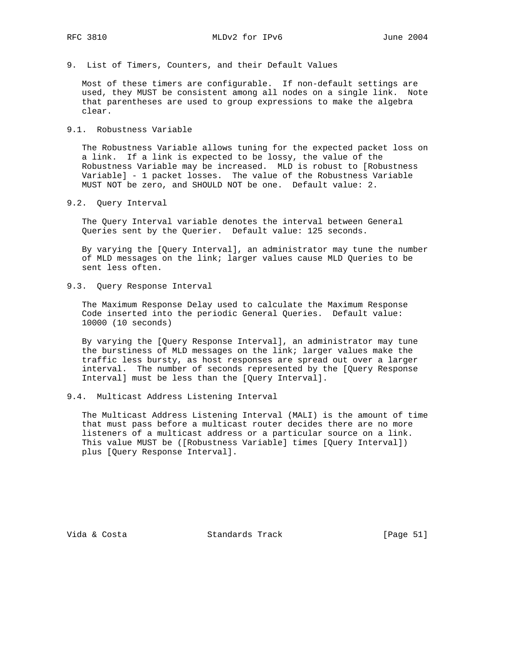9. List of Timers, Counters, and their Default Values

 Most of these timers are configurable. If non-default settings are used, they MUST be consistent among all nodes on a single link. Note that parentheses are used to group expressions to make the algebra clear.

9.1. Robustness Variable

 The Robustness Variable allows tuning for the expected packet loss on a link. If a link is expected to be lossy, the value of the Robustness Variable may be increased. MLD is robust to [Robustness Variable] - 1 packet losses. The value of the Robustness Variable MUST NOT be zero, and SHOULD NOT be one. Default value: 2.

9.2. Query Interval

 The Query Interval variable denotes the interval between General Queries sent by the Querier. Default value: 125 seconds.

 By varying the [Query Interval], an administrator may tune the number of MLD messages on the link; larger values cause MLD Queries to be sent less often.

9.3. Query Response Interval

 The Maximum Response Delay used to calculate the Maximum Response Code inserted into the periodic General Queries. Default value: 10000 (10 seconds)

 By varying the [Query Response Interval], an administrator may tune the burstiness of MLD messages on the link; larger values make the traffic less bursty, as host responses are spread out over a larger interval. The number of seconds represented by the [Query Response Interval] must be less than the [Query Interval].

9.4. Multicast Address Listening Interval

 The Multicast Address Listening Interval (MALI) is the amount of time that must pass before a multicast router decides there are no more listeners of a multicast address or a particular source on a link. This value MUST be ([Robustness Variable] times [Query Interval]) plus [Query Response Interval].

Vida & Costa Standards Track [Page 51]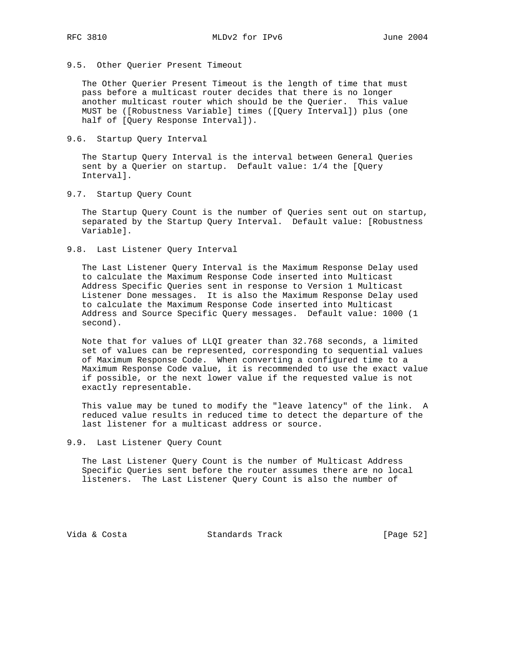### 9.5. Other Querier Present Timeout

 The Other Querier Present Timeout is the length of time that must pass before a multicast router decides that there is no longer another multicast router which should be the Querier. This value MUST be ([Robustness Variable] times ([Query Interval]) plus (one half of [Query Response Interval]).

#### 9.6. Startup Query Interval

 The Startup Query Interval is the interval between General Queries sent by a Querier on startup. Default value: 1/4 the [Query Interval].

## 9.7. Startup Query Count

 The Startup Query Count is the number of Queries sent out on startup, separated by the Startup Query Interval. Default value: [Robustness Variable].

9.8. Last Listener Query Interval

 The Last Listener Query Interval is the Maximum Response Delay used to calculate the Maximum Response Code inserted into Multicast Address Specific Queries sent in response to Version 1 Multicast Listener Done messages. It is also the Maximum Response Delay used to calculate the Maximum Response Code inserted into Multicast Address and Source Specific Query messages. Default value: 1000 (1 second).

 Note that for values of LLQI greater than 32.768 seconds, a limited set of values can be represented, corresponding to sequential values of Maximum Response Code. When converting a configured time to a Maximum Response Code value, it is recommended to use the exact value if possible, or the next lower value if the requested value is not exactly representable.

 This value may be tuned to modify the "leave latency" of the link. A reduced value results in reduced time to detect the departure of the last listener for a multicast address or source.

9.9. Last Listener Query Count

 The Last Listener Query Count is the number of Multicast Address Specific Queries sent before the router assumes there are no local listeners. The Last Listener Query Count is also the number of

Vida & Costa Standards Track [Page 52]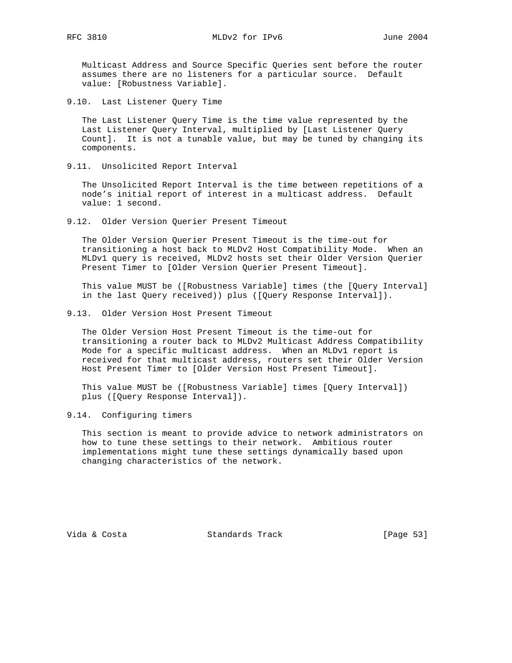Multicast Address and Source Specific Queries sent before the router assumes there are no listeners for a particular source. Default value: [Robustness Variable].

9.10. Last Listener Query Time

 The Last Listener Query Time is the time value represented by the Last Listener Query Interval, multiplied by [Last Listener Query Count]. It is not a tunable value, but may be tuned by changing its components.

9.11. Unsolicited Report Interval

 The Unsolicited Report Interval is the time between repetitions of a node's initial report of interest in a multicast address. Default value: 1 second.

9.12. Older Version Querier Present Timeout

 The Older Version Querier Present Timeout is the time-out for transitioning a host back to MLDv2 Host Compatibility Mode. When an MLDv1 query is received, MLDv2 hosts set their Older Version Querier Present Timer to [Older Version Querier Present Timeout].

 This value MUST be ([Robustness Variable] times (the [Query Interval] in the last Query received)) plus ([Query Response Interval]).

9.13. Older Version Host Present Timeout

 The Older Version Host Present Timeout is the time-out for transitioning a router back to MLDv2 Multicast Address Compatibility Mode for a specific multicast address. When an MLDv1 report is received for that multicast address, routers set their Older Version Host Present Timer to [Older Version Host Present Timeout].

 This value MUST be ([Robustness Variable] times [Query Interval]) plus ([Query Response Interval]).

9.14. Configuring timers

 This section is meant to provide advice to network administrators on how to tune these settings to their network. Ambitious router implementations might tune these settings dynamically based upon changing characteristics of the network.

Vida & Costa Standards Track [Page 53]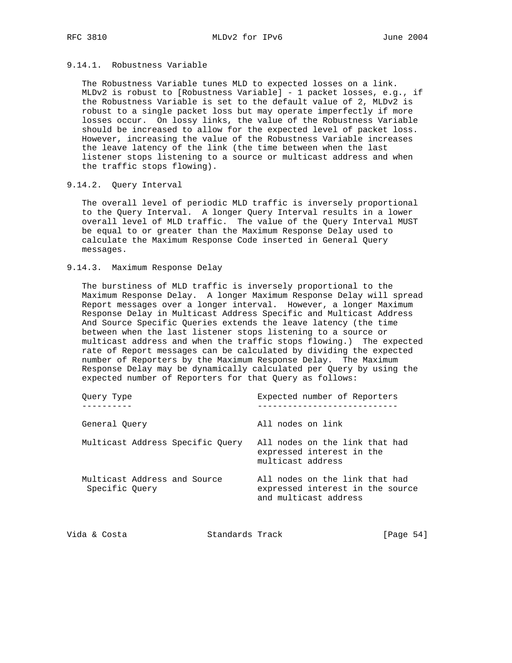## 9.14.1. Robustness Variable

 The Robustness Variable tunes MLD to expected losses on a link. MLDv2 is robust to [Robustness Variable] - 1 packet losses, e.g., if the Robustness Variable is set to the default value of 2, MLDv2 is robust to a single packet loss but may operate imperfectly if more losses occur. On lossy links, the value of the Robustness Variable should be increased to allow for the expected level of packet loss. However, increasing the value of the Robustness Variable increases the leave latency of the link (the time between when the last listener stops listening to a source or multicast address and when the traffic stops flowing).

9.14.2. Query Interval

 The overall level of periodic MLD traffic is inversely proportional to the Query Interval. A longer Query Interval results in a lower overall level of MLD traffic. The value of the Query Interval MUST be equal to or greater than the Maximum Response Delay used to calculate the Maximum Response Code inserted in General Query messages.

## 9.14.3. Maximum Response Delay

 The burstiness of MLD traffic is inversely proportional to the Maximum Response Delay. A longer Maximum Response Delay will spread Report messages over a longer interval. However, a longer Maximum Response Delay in Multicast Address Specific and Multicast Address And Source Specific Queries extends the leave latency (the time between when the last listener stops listening to a source or multicast address and when the traffic stops flowing.) The expected rate of Report messages can be calculated by dividing the expected number of Reporters by the Maximum Response Delay. The Maximum Response Delay may be dynamically calculated per Query by using the expected number of Reporters for that Query as follows:

| Ouery Type                                     | Expected number of Reporters                                                                |
|------------------------------------------------|---------------------------------------------------------------------------------------------|
| General Ouery                                  | All nodes on link                                                                           |
| Multicast Address Specific Ouery               | All nodes on the link that had<br>expressed interest in the<br>multicast address            |
| Multicast Address and Source<br>Specific Ouery | All nodes on the link that had<br>expressed interest in the source<br>and multicast address |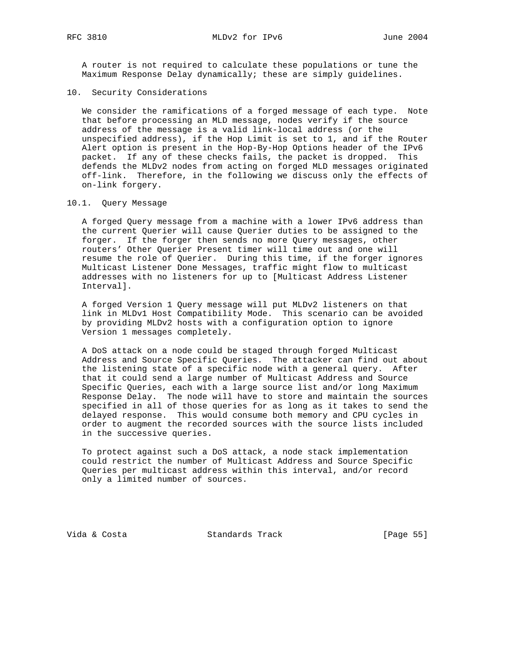A router is not required to calculate these populations or tune the Maximum Response Delay dynamically; these are simply guidelines.

### 10. Security Considerations

 We consider the ramifications of a forged message of each type. Note that before processing an MLD message, nodes verify if the source address of the message is a valid link-local address (or the unspecified address), if the Hop Limit is set to 1, and if the Router Alert option is present in the Hop-By-Hop Options header of the IPv6 packet. If any of these checks fails, the packet is dropped. This defends the MLDv2 nodes from acting on forged MLD messages originated off-link. Therefore, in the following we discuss only the effects of on-link forgery.

### 10.1. Query Message

 A forged Query message from a machine with a lower IPv6 address than the current Querier will cause Querier duties to be assigned to the forger. If the forger then sends no more Query messages, other routers' Other Querier Present timer will time out and one will resume the role of Querier. During this time, if the forger ignores Multicast Listener Done Messages, traffic might flow to multicast addresses with no listeners for up to [Multicast Address Listener Interval].

 A forged Version 1 Query message will put MLDv2 listeners on that link in MLDv1 Host Compatibility Mode. This scenario can be avoided by providing MLDv2 hosts with a configuration option to ignore Version 1 messages completely.

 A DoS attack on a node could be staged through forged Multicast Address and Source Specific Queries. The attacker can find out about the listening state of a specific node with a general query. After that it could send a large number of Multicast Address and Source Specific Queries, each with a large source list and/or long Maximum Response Delay. The node will have to store and maintain the sources specified in all of those queries for as long as it takes to send the delayed response. This would consume both memory and CPU cycles in order to augment the recorded sources with the source lists included in the successive queries.

 To protect against such a DoS attack, a node stack implementation could restrict the number of Multicast Address and Source Specific Queries per multicast address within this interval, and/or record only a limited number of sources.

Vida & Costa Standards Track [Page 55]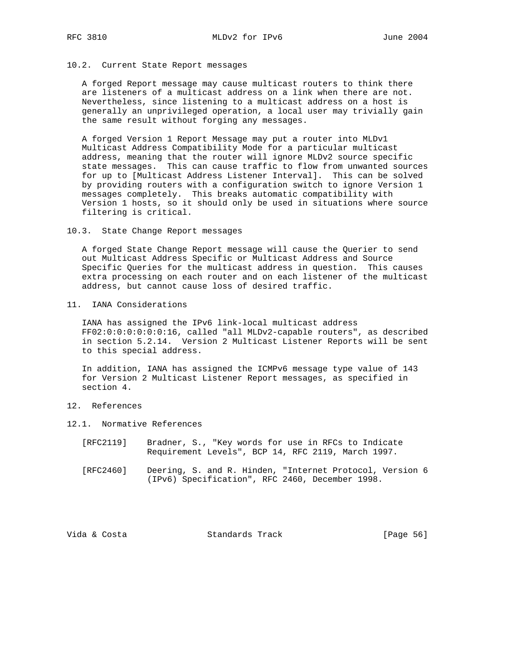## 10.2. Current State Report messages

 A forged Report message may cause multicast routers to think there are listeners of a multicast address on a link when there are not. Nevertheless, since listening to a multicast address on a host is generally an unprivileged operation, a local user may trivially gain the same result without forging any messages.

 A forged Version 1 Report Message may put a router into MLDv1 Multicast Address Compatibility Mode for a particular multicast address, meaning that the router will ignore MLDv2 source specific state messages. This can cause traffic to flow from unwanted sources for up to [Multicast Address Listener Interval]. This can be solved by providing routers with a configuration switch to ignore Version 1 messages completely. This breaks automatic compatibility with Version 1 hosts, so it should only be used in situations where source filtering is critical.

#### 10.3. State Change Report messages

 A forged State Change Report message will cause the Querier to send out Multicast Address Specific or Multicast Address and Source Specific Queries for the multicast address in question. This causes extra processing on each router and on each listener of the multicast address, but cannot cause loss of desired traffic.

11. IANA Considerations

 IANA has assigned the IPv6 link-local multicast address FF02:0:0:0:0:0:0:16, called "all MLDv2-capable routers", as described in section 5.2.14. Version 2 Multicast Listener Reports will be sent to this special address.

 In addition, IANA has assigned the ICMPv6 message type value of 143 for Version 2 Multicast Listener Report messages, as specified in section 4.

## 12. References

- 12.1. Normative References
	- [RFC2119] Bradner, S., "Key words for use in RFCs to Indicate Requirement Levels", BCP 14, RFC 2119, March 1997.
	- [RFC2460] Deering, S. and R. Hinden, "Internet Protocol, Version 6 (IPv6) Specification", RFC 2460, December 1998.

Vida & Costa Standards Track [Page 56]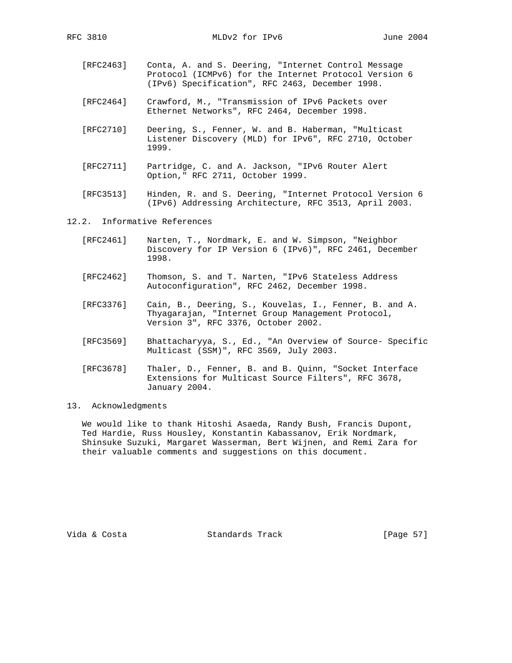- [RFC2463] Conta, A. and S. Deering, "Internet Control Message Protocol (ICMPv6) for the Internet Protocol Version 6 (IPv6) Specification", RFC 2463, December 1998.
- [RFC2464] Crawford, M., "Transmission of IPv6 Packets over Ethernet Networks", RFC 2464, December 1998.
- [RFC2710] Deering, S., Fenner, W. and B. Haberman, "Multicast Listener Discovery (MLD) for IPv6", RFC 2710, October 1999.
- [RFC2711] Partridge, C. and A. Jackson, "IPv6 Router Alert Option," RFC 2711, October 1999.
- [RFC3513] Hinden, R. and S. Deering, "Internet Protocol Version 6 (IPv6) Addressing Architecture, RFC 3513, April 2003.
- 12.2. Informative References
	- [RFC2461] Narten, T., Nordmark, E. and W. Simpson, "Neighbor Discovery for IP Version 6 (IPv6)", RFC 2461, December 1998.
	- [RFC2462] Thomson, S. and T. Narten, "IPv6 Stateless Address Autoconfiguration", RFC 2462, December 1998.
	- [RFC3376] Cain, B., Deering, S., Kouvelas, I., Fenner, B. and A. Thyagarajan, "Internet Group Management Protocol, Version 3", RFC 3376, October 2002.
	- [RFC3569] Bhattacharyya, S., Ed., "An Overview of Source- Specific Multicast (SSM)", RFC 3569, July 2003.
	- [RFC3678] Thaler, D., Fenner, B. and B. Quinn, "Socket Interface Extensions for Multicast Source Filters", RFC 3678, January 2004.
- 13. Acknowledgments

 We would like to thank Hitoshi Asaeda, Randy Bush, Francis Dupont, Ted Hardie, Russ Housley, Konstantin Kabassanov, Erik Nordmark, Shinsuke Suzuki, Margaret Wasserman, Bert Wijnen, and Remi Zara for their valuable comments and suggestions on this document.

Vida & Costa Standards Track [Page 57]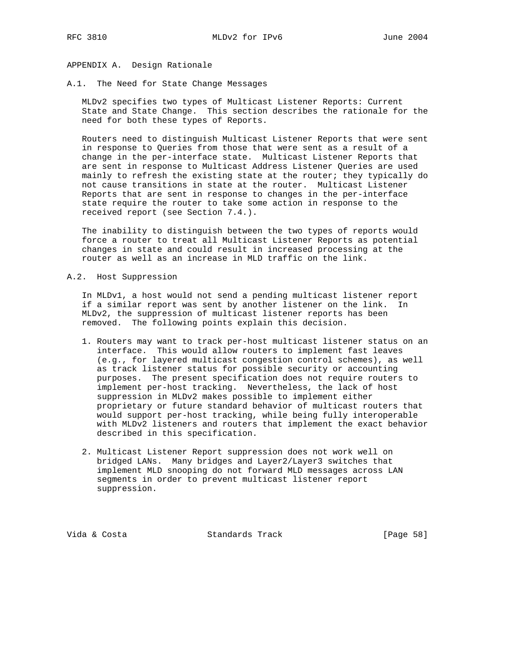APPENDIX A. Design Rationale

A.1. The Need for State Change Messages

 MLDv2 specifies two types of Multicast Listener Reports: Current State and State Change. This section describes the rationale for the need for both these types of Reports.

 Routers need to distinguish Multicast Listener Reports that were sent in response to Queries from those that were sent as a result of a change in the per-interface state. Multicast Listener Reports that are sent in response to Multicast Address Listener Queries are used mainly to refresh the existing state at the router; they typically do not cause transitions in state at the router. Multicast Listener Reports that are sent in response to changes in the per-interface state require the router to take some action in response to the received report (see Section 7.4.).

 The inability to distinguish between the two types of reports would force a router to treat all Multicast Listener Reports as potential changes in state and could result in increased processing at the router as well as an increase in MLD traffic on the link.

A.2. Host Suppression

 In MLDv1, a host would not send a pending multicast listener report if a similar report was sent by another listener on the link. In MLDv2, the suppression of multicast listener reports has been removed. The following points explain this decision.

- 1. Routers may want to track per-host multicast listener status on an interface. This would allow routers to implement fast leaves (e.g., for layered multicast congestion control schemes), as well as track listener status for possible security or accounting purposes. The present specification does not require routers to implement per-host tracking. Nevertheless, the lack of host suppression in MLDv2 makes possible to implement either proprietary or future standard behavior of multicast routers that would support per-host tracking, while being fully interoperable with MLDv2 listeners and routers that implement the exact behavior described in this specification.
- 2. Multicast Listener Report suppression does not work well on bridged LANs. Many bridges and Layer2/Layer3 switches that implement MLD snooping do not forward MLD messages across LAN segments in order to prevent multicast listener report suppression.

Vida & Costa Standards Track [Page 58]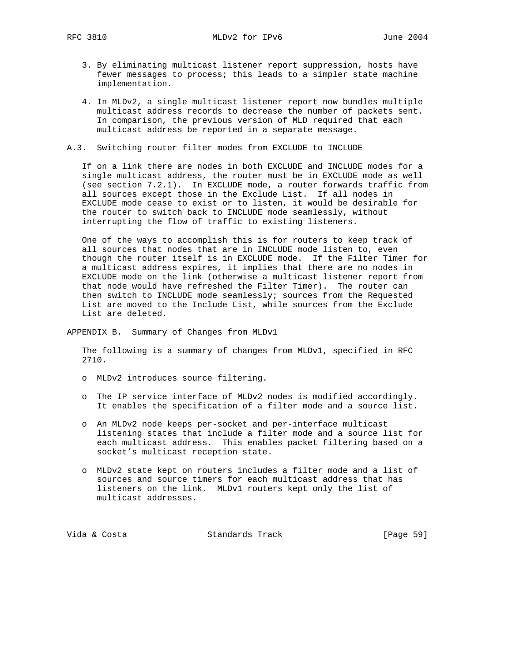RFC 3810 MLDv2 for IPv6 June 2004

- 3. By eliminating multicast listener report suppression, hosts have fewer messages to process; this leads to a simpler state machine implementation.
- 4. In MLDv2, a single multicast listener report now bundles multiple multicast address records to decrease the number of packets sent. In comparison, the previous version of MLD required that each multicast address be reported in a separate message.

## A.3. Switching router filter modes from EXCLUDE to INCLUDE

 If on a link there are nodes in both EXCLUDE and INCLUDE modes for a single multicast address, the router must be in EXCLUDE mode as well (see section 7.2.1). In EXCLUDE mode, a router forwards traffic from all sources except those in the Exclude List. If all nodes in EXCLUDE mode cease to exist or to listen, it would be desirable for the router to switch back to INCLUDE mode seamlessly, without interrupting the flow of traffic to existing listeners.

 One of the ways to accomplish this is for routers to keep track of all sources that nodes that are in INCLUDE mode listen to, even though the router itself is in EXCLUDE mode. If the Filter Timer for a multicast address expires, it implies that there are no nodes in EXCLUDE mode on the link (otherwise a multicast listener report from that node would have refreshed the Filter Timer). The router can then switch to INCLUDE mode seamlessly; sources from the Requested List are moved to the Include List, while sources from the Exclude List are deleted.

APPENDIX B. Summary of Changes from MLDv1

 The following is a summary of changes from MLDv1, specified in RFC 2710.

- o MLDv2 introduces source filtering.
- o The IP service interface of MLDv2 nodes is modified accordingly. It enables the specification of a filter mode and a source list.
- o An MLDv2 node keeps per-socket and per-interface multicast listening states that include a filter mode and a source list for each multicast address. This enables packet filtering based on a socket's multicast reception state.
- o MLDv2 state kept on routers includes a filter mode and a list of sources and source timers for each multicast address that has listeners on the link. MLDv1 routers kept only the list of multicast addresses.

| [Page 59]<br>Vida & Costa<br>Standards Track |  |
|----------------------------------------------|--|
|----------------------------------------------|--|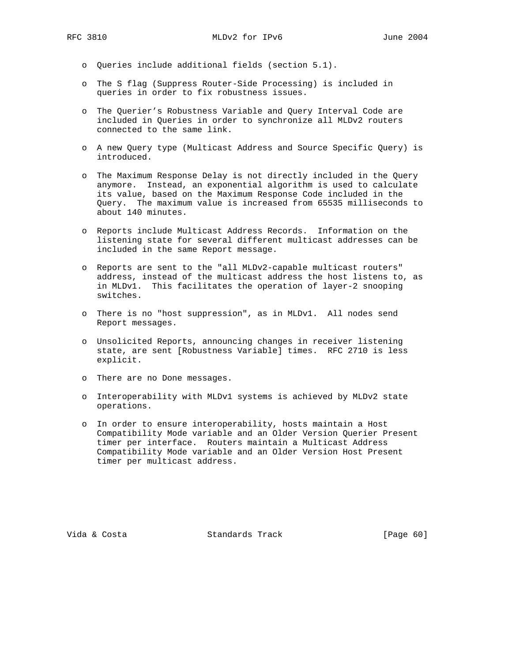- - o Queries include additional fields (section 5.1).
	- o The S flag (Suppress Router-Side Processing) is included in queries in order to fix robustness issues.
	- o The Querier's Robustness Variable and Query Interval Code are included in Queries in order to synchronize all MLDv2 routers connected to the same link.
	- o A new Query type (Multicast Address and Source Specific Query) is introduced.
	- o The Maximum Response Delay is not directly included in the Query anymore. Instead, an exponential algorithm is used to calculate its value, based on the Maximum Response Code included in the Query. The maximum value is increased from 65535 milliseconds to about 140 minutes.
	- o Reports include Multicast Address Records. Information on the listening state for several different multicast addresses can be included in the same Report message.
	- o Reports are sent to the "all MLDv2-capable multicast routers" address, instead of the multicast address the host listens to, as in MLDv1. This facilitates the operation of layer-2 snooping switches.
	- o There is no "host suppression", as in MLDv1. All nodes send Report messages.
	- o Unsolicited Reports, announcing changes in receiver listening state, are sent [Robustness Variable] times. RFC 2710 is less explicit.
	- o There are no Done messages.
	- o Interoperability with MLDv1 systems is achieved by MLDv2 state operations.
	- o In order to ensure interoperability, hosts maintain a Host Compatibility Mode variable and an Older Version Querier Present timer per interface. Routers maintain a Multicast Address Compatibility Mode variable and an Older Version Host Present timer per multicast address.

Vida & Costa Standards Track [Page 60]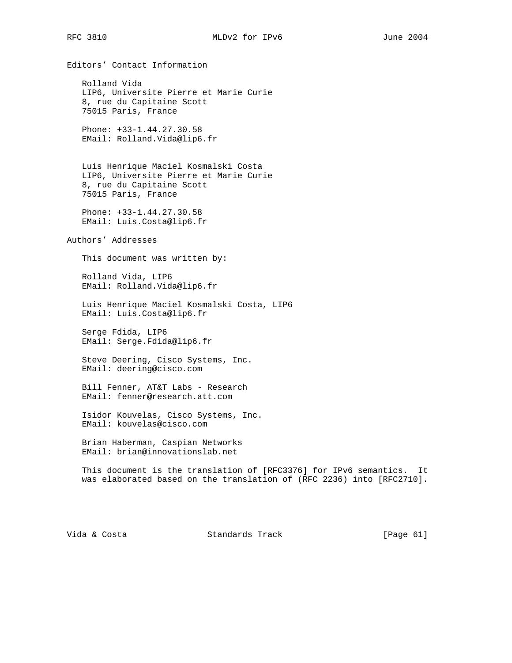Editors' Contact Information

 Rolland Vida LIP6, Universite Pierre et Marie Curie 8, rue du Capitaine Scott 75015 Paris, France

 Phone: +33-1.44.27.30.58 EMail: Rolland.Vida@lip6.fr

 Luis Henrique Maciel Kosmalski Costa LIP6, Universite Pierre et Marie Curie 8, rue du Capitaine Scott 75015 Paris, France

 Phone: +33-1.44.27.30.58 EMail: Luis.Costa@lip6.fr

Authors' Addresses

This document was written by:

 Rolland Vida, LIP6 EMail: Rolland.Vida@lip6.fr

 Luis Henrique Maciel Kosmalski Costa, LIP6 EMail: Luis.Costa@lip6.fr

 Serge Fdida, LIP6 EMail: Serge.Fdida@lip6.fr

 Steve Deering, Cisco Systems, Inc. EMail: deering@cisco.com

 Bill Fenner, AT&T Labs - Research EMail: fenner@research.att.com

 Isidor Kouvelas, Cisco Systems, Inc. EMail: kouvelas@cisco.com

 Brian Haberman, Caspian Networks EMail: brian@innovationslab.net

 This document is the translation of [RFC3376] for IPv6 semantics. It was elaborated based on the translation of (RFC 2236) into [RFC2710].

Vida & Costa Standards Track [Page 61]